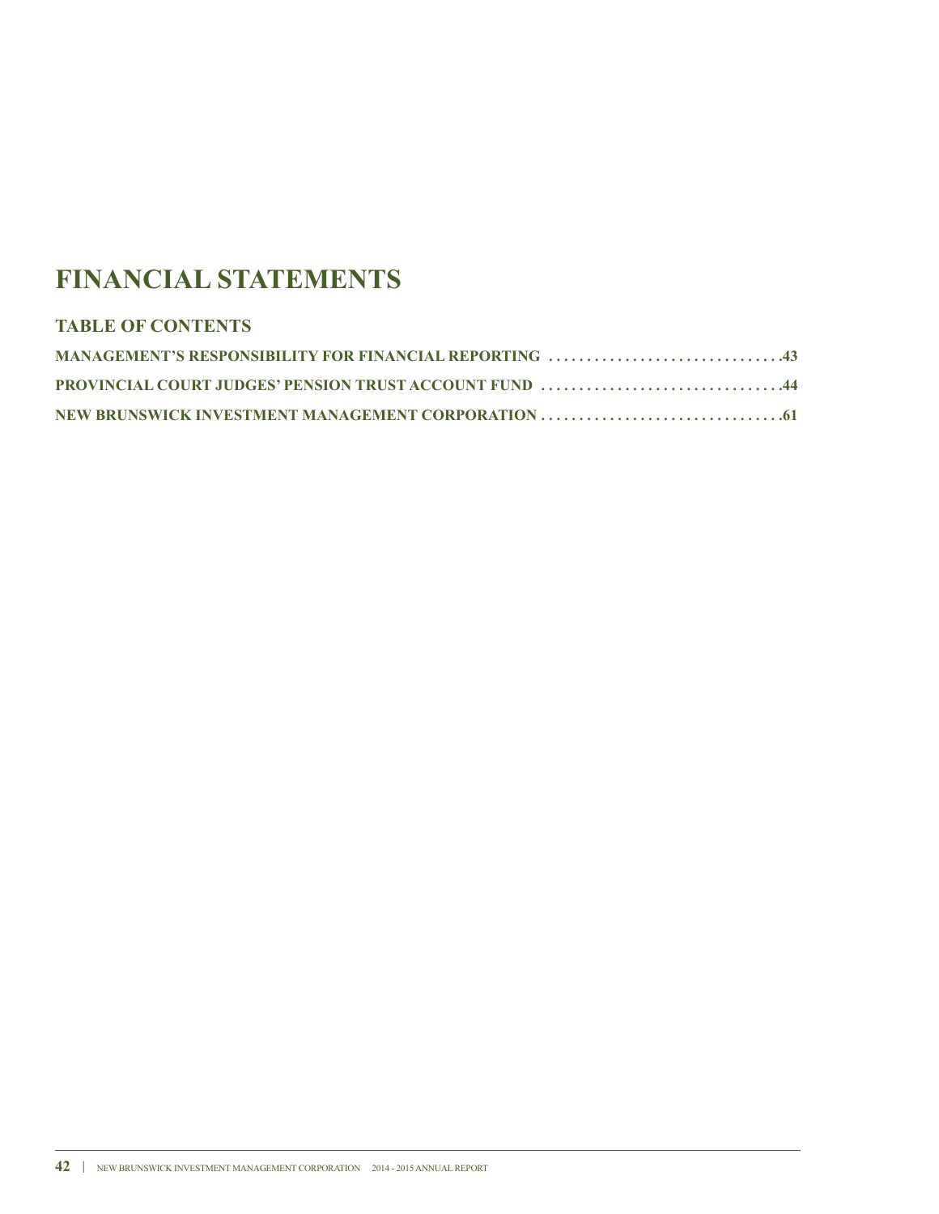# **FINANCIAL STATEMENTS**

# **TABLE OF CONTENTS**

| PROVINCIAL COURT JUDGES' PENSION TRUST ACCOUNT FUND 44 |  |
|--------------------------------------------------------|--|
|                                                        |  |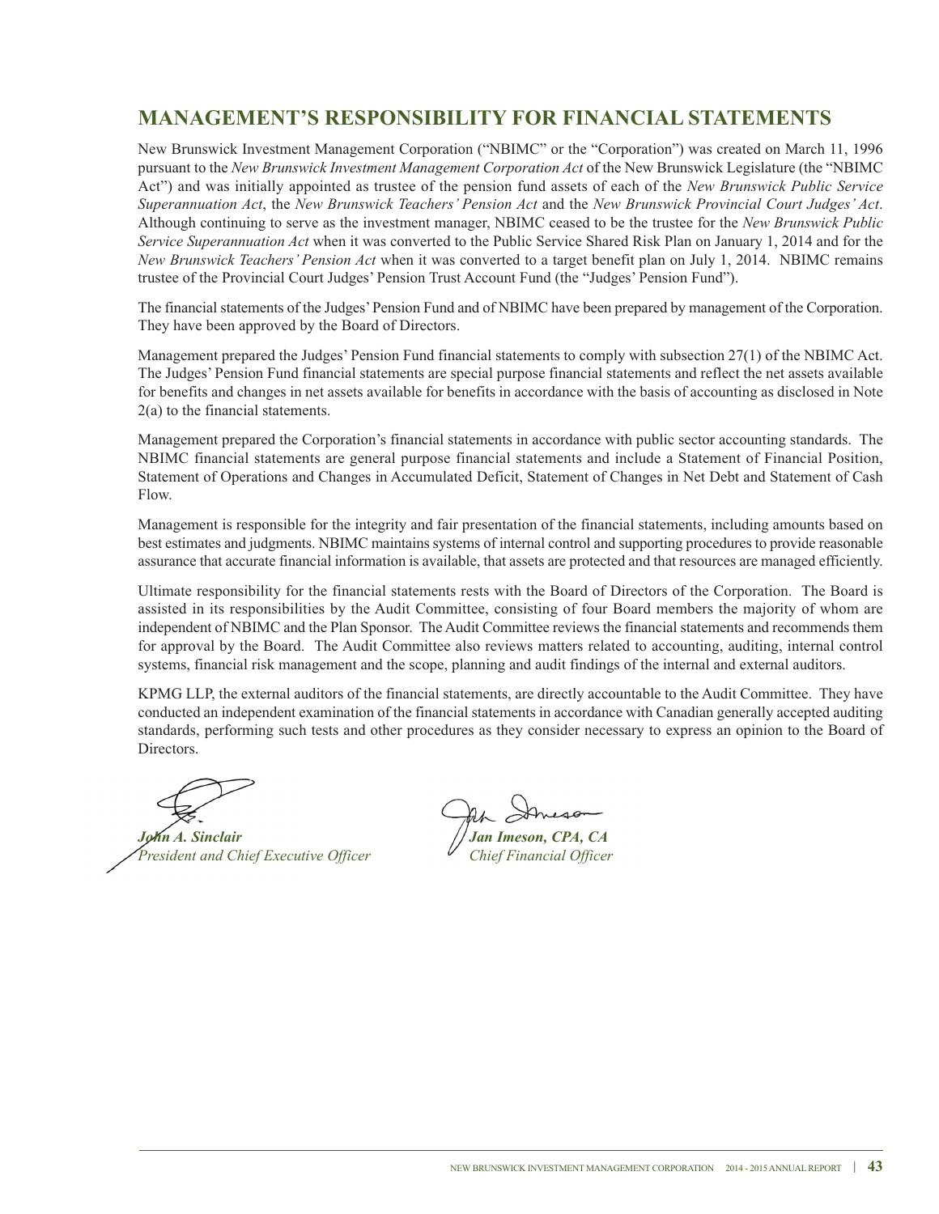# **MANAGEMENT'S RESPONSIBILITY FOR FINANCIAL STATEMENTS**

New Brunswick Investment Management Corporation ("NBIMC" or the "Corporation") was created on March 11, 1996 pursuant to the *New Brunswick Investment Management Corporation Act* of the New Brunswick Legislature (the "NBIMC Act") and was initially appointed as trustee of the pension fund assets of each of the *New Brunswick Public Service Superannuation Act*, the *New Brunswick Teachers' Pension Act* and the *New Brunswick Provincial Court Judges' Act*. Although continuing to serve as the investment manager, NBIMC ceased to be the trustee for the *New Brunswick Public Service Superannuation Act* when it was converted to the Public Service Shared Risk Plan on January 1, 2014 and for the *New Brunswick Teachers' Pension Act* when it was converted to a target benefit plan on July 1, 2014. NBIMC remains trustee of the Provincial Court Judges' Pension Trust Account Fund (the "Judges' Pension Fund").

The financial statements of the Judges'Pension Fund and of NBIMC have been prepared by management of the Corporation. They have been approved by the Board of Directors.

Management prepared the Judges' Pension Fund financial statements to comply with subsection 27(1) of the NBIMC Act. The Judges' Pension Fund financial statements are special purpose financial statements and reflect the net assets available for benefits and changes in net assets available for benefits in accordance with the basis of accounting as disclosed in Note 2(a) to the financial statements.

Management prepared the Corporation's financial statements in accordance with public sector accounting standards. The NBIMC financial statements are general purpose financial statements and include a Statement of Financial Position, Statement of Operations and Changes in Accumulated Deficit, Statement of Changes in Net Debt and Statement of Cash Flow.

Management is responsible for the integrity and fair presentation of the financial statements, including amounts based on best estimates and judgments. NBIMC maintains systems of internal control and supporting procedures to provide reasonable assurance that accurate financial information is available, that assets are protected and that resources are managed efficiently.

Ultimate responsibility for the financial statements rests with the Board of Directors of the Corporation. The Board is assisted in its responsibilities by the Audit Committee, consisting of four Board members the majority of whom are independent of NBIMC and the Plan Sponsor. The Audit Committee reviews the financial statements and recommends them for approval by the Board. The Audit Committee also reviews matters related to accounting, auditing, internal control systems, financial risk management and the scope, planning and audit findings of the internal and external auditors.

KPMG LLP, the external auditors of the financial statements, are directly accountable to the Audit Committee. They have conducted an independent examination of the financial statements in accordance with Canadian generally accepted auditing standards, performing such tests and other procedures as they consider necessary to express an opinion to the Board of Directors.

*John A. Sinclair Jan Imeson, CPA, CA President and Chief Executive Officer Chief Financial Officer*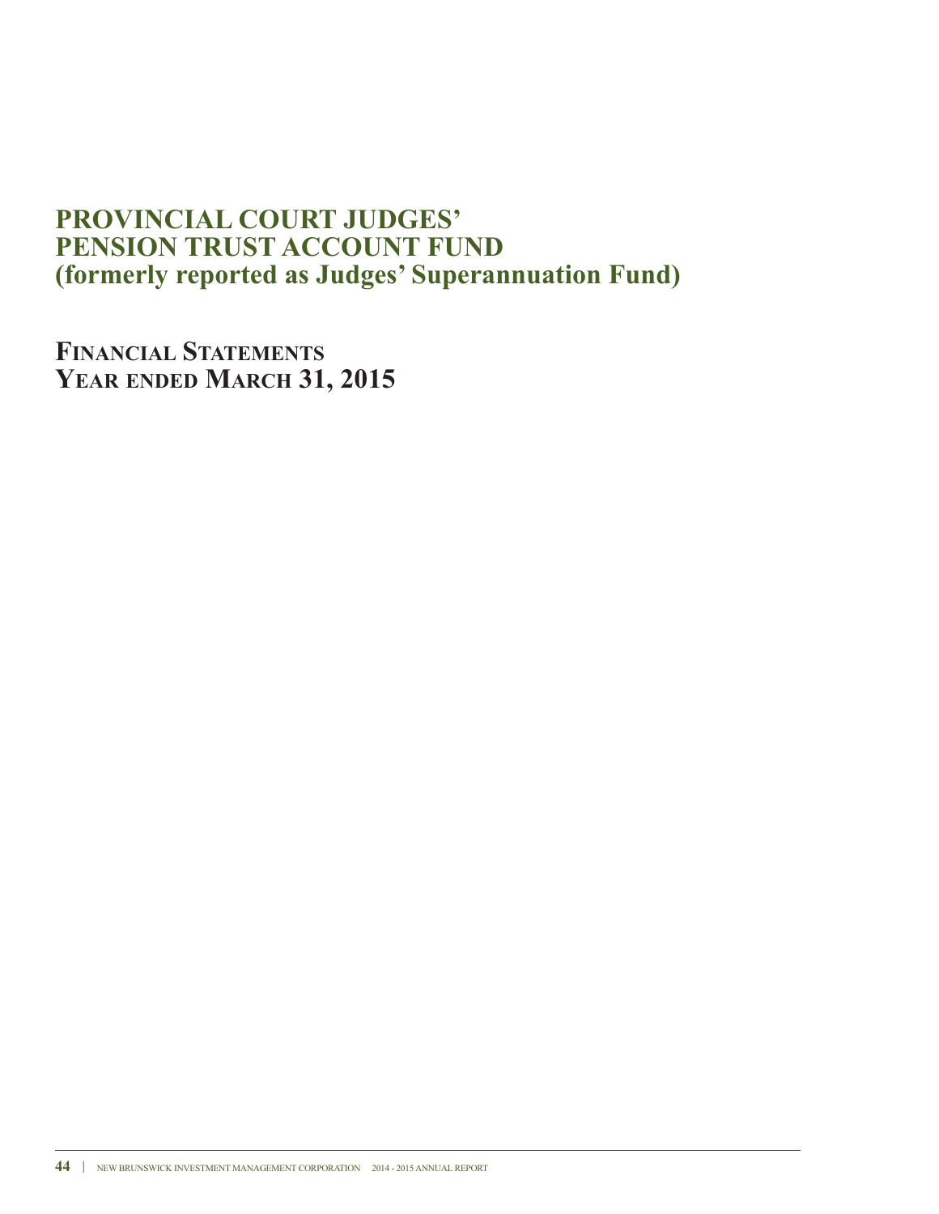# **PROVINCIAL COURT JUDGES' PENSION TRUST ACCOUNT FUND (formerly reported as Judges' Superannuation Fund)**

**FINANCIAL STATEMENTS YEAR ENDED MARCH 31, 2015**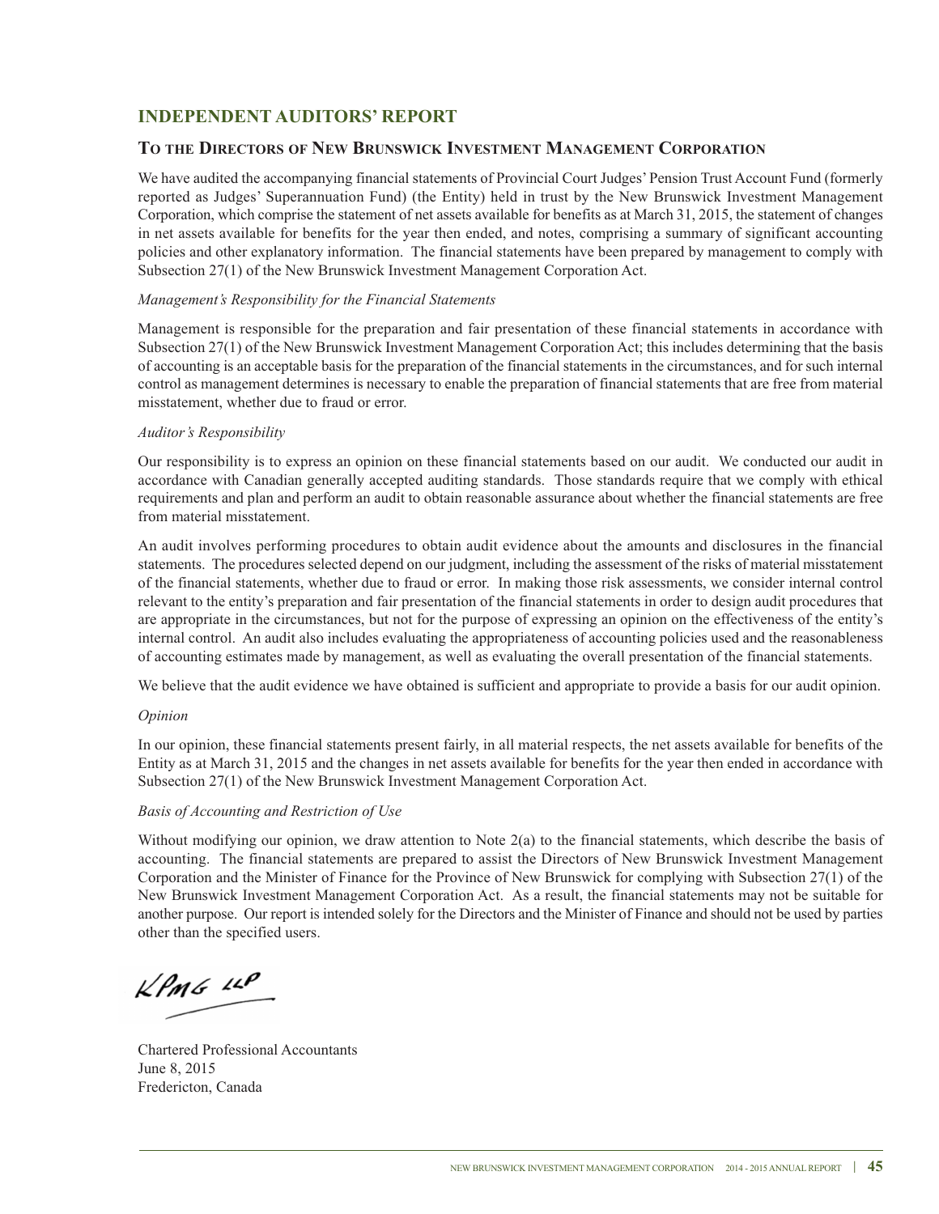# **INDEPENDENT AUDITORS' REPORT**

# **TO THE DIRECTORS OF NEW BRUNSWICK INVESTMENT MANAGEMENT CORPORATION**

We have audited the accompanying financial statements of Provincial Court Judges' Pension Trust Account Fund (formerly reported as Judges' Superannuation Fund) (the Entity) held in trust by the New Brunswick Investment Management Corporation, which comprise the statement of net assets available for benefits as at March 31, 2015, the statement of changes in net assets available for benefits for the year then ended, and notes, comprising a summary of significant accounting policies and other explanatory information. The financial statements have been prepared by management to comply with Subsection 27(1) of the New Brunswick Investment Management Corporation Act.

#### *Management's Responsibility for the Financial Statements*

Management is responsible for the preparation and fair presentation of these financial statements in accordance with Subsection 27(1) of the New Brunswick Investment Management Corporation Act; this includes determining that the basis of accounting is an acceptable basis for the preparation of the financial statements in the circumstances, and for such internal control as management determines is necessary to enable the preparation of financial statements that are free from material misstatement, whether due to fraud or error.

#### *Auditor's Responsibility*

Our responsibility is to express an opinion on these financial statements based on our audit. We conducted our audit in accordance with Canadian generally accepted auditing standards. Those standards require that we comply with ethical requirements and plan and perform an audit to obtain reasonable assurance about whether the financial statements are free from material misstatement.

An audit involves performing procedures to obtain audit evidence about the amounts and disclosures in the financial statements. The procedures selected depend on our judgment, including the assessment of the risks of material misstatement of the financial statements, whether due to fraud or error. In making those risk assessments, we consider internal control relevant to the entity's preparation and fair presentation of the financial statements in order to design audit procedures that are appropriate in the circumstances, but not for the purpose of expressing an opinion on the effectiveness of the entity's internal control. An audit also includes evaluating the appropriateness of accounting policies used and the reasonableness of accounting estimates made by management, as well as evaluating the overall presentation of the financial statements.

We believe that the audit evidence we have obtained is sufficient and appropriate to provide a basis for our audit opinion.

#### *Opinion*

In our opinion, these financial statements present fairly, in all material respects, the net assets available for benefits of the Entity as at March 31, 2015 and the changes in net assets available for benefits for the year then ended in accordance with Subsection 27(1) of the New Brunswick Investment Management Corporation Act.

#### *Basis of Accounting and Restriction of Use*

Without modifying our opinion, we draw attention to Note 2(a) to the financial statements, which describe the basis of accounting. The financial statements are prepared to assist the Directors of New Brunswick Investment Management Corporation and the Minister of Finance for the Province of New Brunswick for complying with Subsection 27(1) of the New Brunswick Investment Management Corporation Act. As a result, the financial statements may not be suitable for another purpose. Our report is intended solely for the Directors and the Minister of Finance and should not be used by parties other than the specified users.

 $k$ *PmG*  $44$ 

Chartered Professional Accountants June 8, 2015 Fredericton, Canada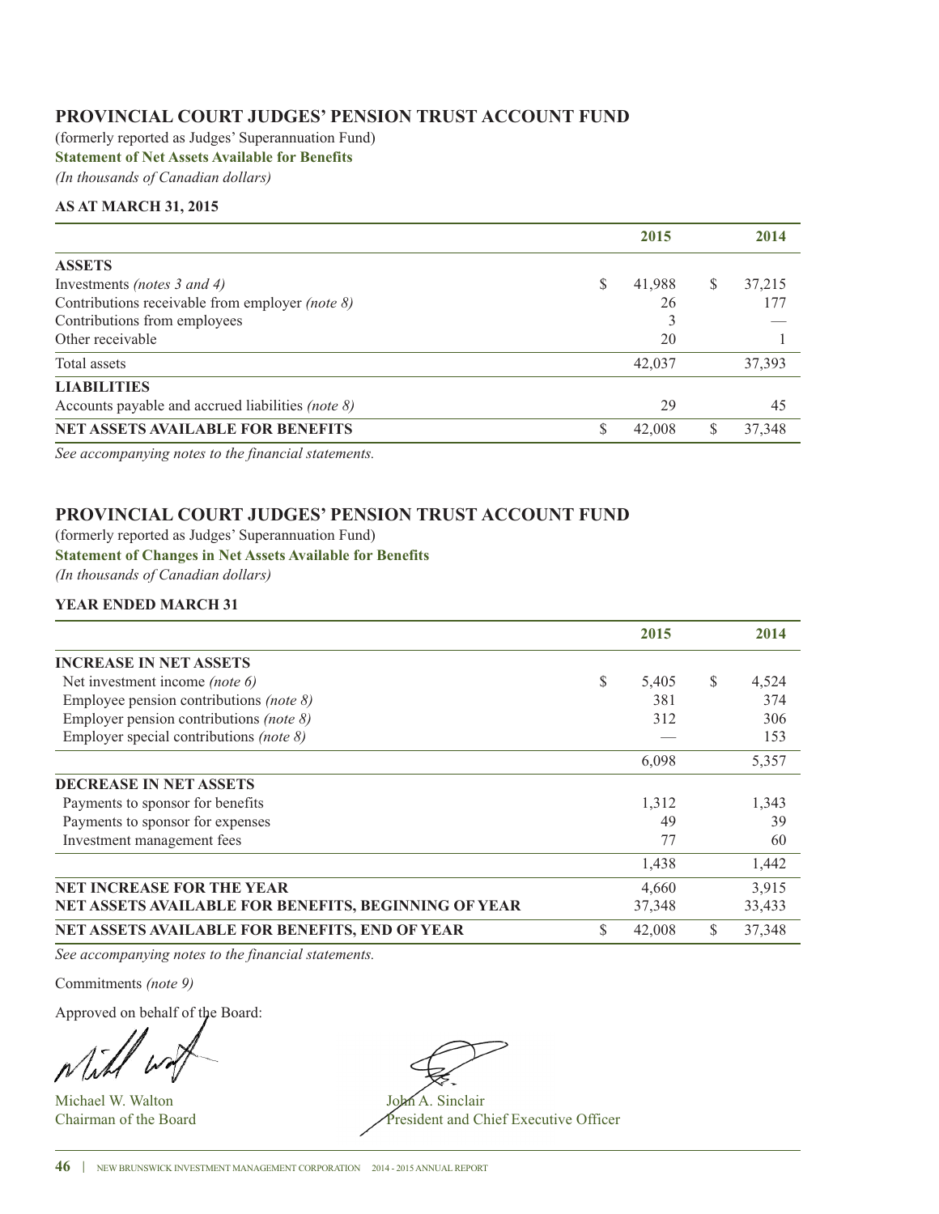# **PROVINCIAL COURT JUDGES' PENSION TRUST ACCOUNT FUND**

(formerly reported as Judges' Superannuation Fund) **Statement of Net Assets Available for Benefits** *(In thousands of Canadian dollars)*

# **AS AT MARCH 31, 2015**

|                                                           |   | 2015   |   | 2014   |
|-----------------------------------------------------------|---|--------|---|--------|
| <b>ASSETS</b>                                             |   |        |   |        |
| Investments (notes 3 and 4)                               |   | 41,988 | S | 37,215 |
| Contributions receivable from employer <i>(note 8)</i>    |   | 26     |   | 177    |
| Contributions from employees                              |   | 3      |   |        |
| Other receivable                                          |   | 20     |   |        |
| Total assets                                              |   | 42,037 |   | 37,393 |
| <b>LIABILITIES</b>                                        |   |        |   |        |
| Accounts payable and accrued liabilities (note $\delta$ ) |   | 29     |   | 45     |
| <b>NET ASSETS AVAILABLE FOR BENEFITS</b>                  | S | 42,008 | S | 37,348 |
|                                                           |   |        |   |        |

*See accompanying notes to the financial statements.*

# **PROVINCIAL COURT JUDGES' PENSION TRUST ACCOUNT FUND**

(formerly reported as Judges' Superannuation Fund)

**Statement of Changes in Net Assets Available for Benefits**

*(In thousands of Canadian dollars)*

# **YEAR ENDED MARCH 31**

|                                                      |    | 2015   |    | 2014   |
|------------------------------------------------------|----|--------|----|--------|
| <b>INCREASE IN NET ASSETS</b>                        |    |        |    |        |
| Net investment income (note 6)                       | S  | 5,405  | S  | 4,524  |
| Employee pension contributions (note $\delta$ )      |    | 381    |    | 374    |
| Employer pension contributions (note 8)              |    | 312    |    | 306    |
| Employer special contributions (note 8)              |    |        |    | 153    |
|                                                      |    | 6,098  |    | 5,357  |
| <b>DECREASE IN NET ASSETS</b>                        |    |        |    |        |
| Payments to sponsor for benefits                     |    | 1,312  |    | 1,343  |
| Payments to sponsor for expenses                     |    | 49     |    | 39     |
| Investment management fees                           |    | 77     |    | 60     |
|                                                      |    | 1,438  |    | 1,442  |
| <b>NET INCREASE FOR THE YEAR</b>                     |    | 4,660  |    | 3,915  |
| NET ASSETS AVAILABLE FOR BENEFITS, BEGINNING OF YEAR |    | 37,348 |    | 33,433 |
| NET ASSETS AVAILABLE FOR BENEFITS, END OF YEAR       | \$ | 42,008 | \$ | 37,348 |

*See accompanying notes to the financial statements.*

Commitments *(note 9)*

Approved on behalf of the Board:

Michael W. Walton John A. Sinclair

Chairman of the Board President and Chief Executive Officer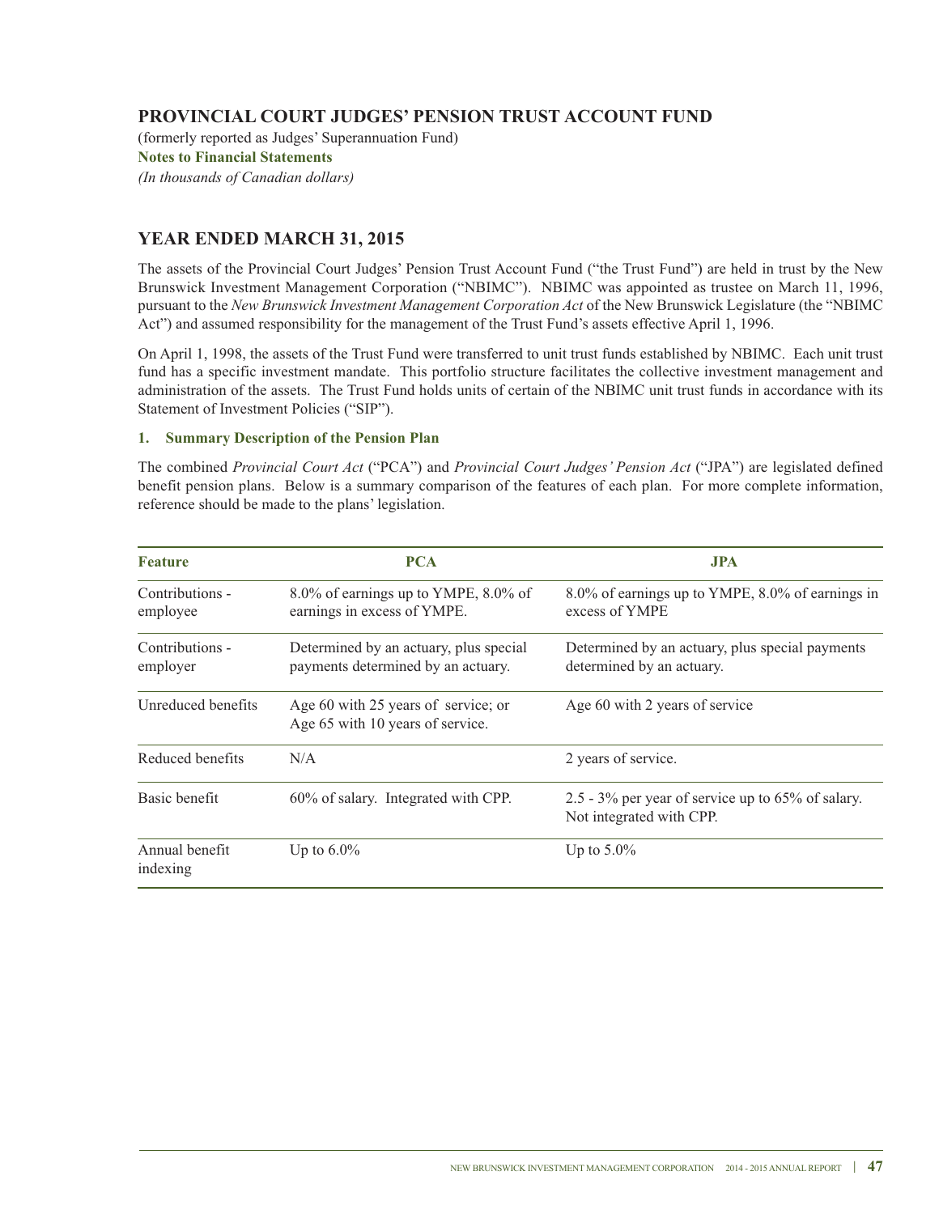# **PROVINCIAL COURT JUDGES' PENSION TRUST ACCOUNT FUND**

(formerly reported as Judges' Superannuation Fund) **Notes to Financial Statements** *(In thousands of Canadian dollars)*

# **YEAR ENDED MARCH 31, 2015**

The assets of the Provincial Court Judges' Pension Trust Account Fund ("the Trust Fund") are held in trust by the New Brunswick Investment Management Corporation ("NBIMC"). NBIMC was appointed as trustee on March 11, 1996, pursuant to the *New Brunswick Investment Management Corporation Act* of the New Brunswick Legislature (the "NBIMC Act") and assumed responsibility for the management of the Trust Fund's assets effective April 1, 1996.

On April 1, 1998, the assets of the Trust Fund were transferred to unit trust funds established by NBIMC. Each unit trust fund has a specific investment mandate. This portfolio structure facilitates the collective investment management and administration of the assets. The Trust Fund holds units of certain of the NBIMC unit trust funds in accordance with its Statement of Investment Policies ("SIP").

# **1. Summary Description of the Pension Plan**

The combined *Provincial Court Act* ("PCA") and *Provincial Court Judges' Pension Act* ("JPA") are legislated defined benefit pension plans. Below is a summary comparison of the features of each plan. For more complete information, reference should be made to the plans' legislation.

| <b>Feature</b>              | <b>PCA</b>                                                                   | <b>JPA</b>                                                                    |
|-----------------------------|------------------------------------------------------------------------------|-------------------------------------------------------------------------------|
| Contributions -<br>employee | 8.0% of earnings up to YMPE, 8.0% of<br>earnings in excess of YMPE.          | 8.0% of earnings up to YMPE, 8.0% of earnings in<br>excess of YMPE            |
| Contributions -<br>employer | Determined by an actuary, plus special<br>payments determined by an actuary. | Determined by an actuary, plus special payments<br>determined by an actuary.  |
| Unreduced benefits          | Age 60 with 25 years of service; or<br>Age 65 with 10 years of service.      | Age 60 with 2 years of service                                                |
| Reduced benefits            | N/A                                                                          | 2 years of service.                                                           |
| Basic benefit               | 60% of salary. Integrated with CPP.                                          | 2.5 - 3% per year of service up to 65% of salary.<br>Not integrated with CPP. |
| Annual benefit<br>indexing  | Up to $6.0\%$                                                                | Up to $5.0\%$                                                                 |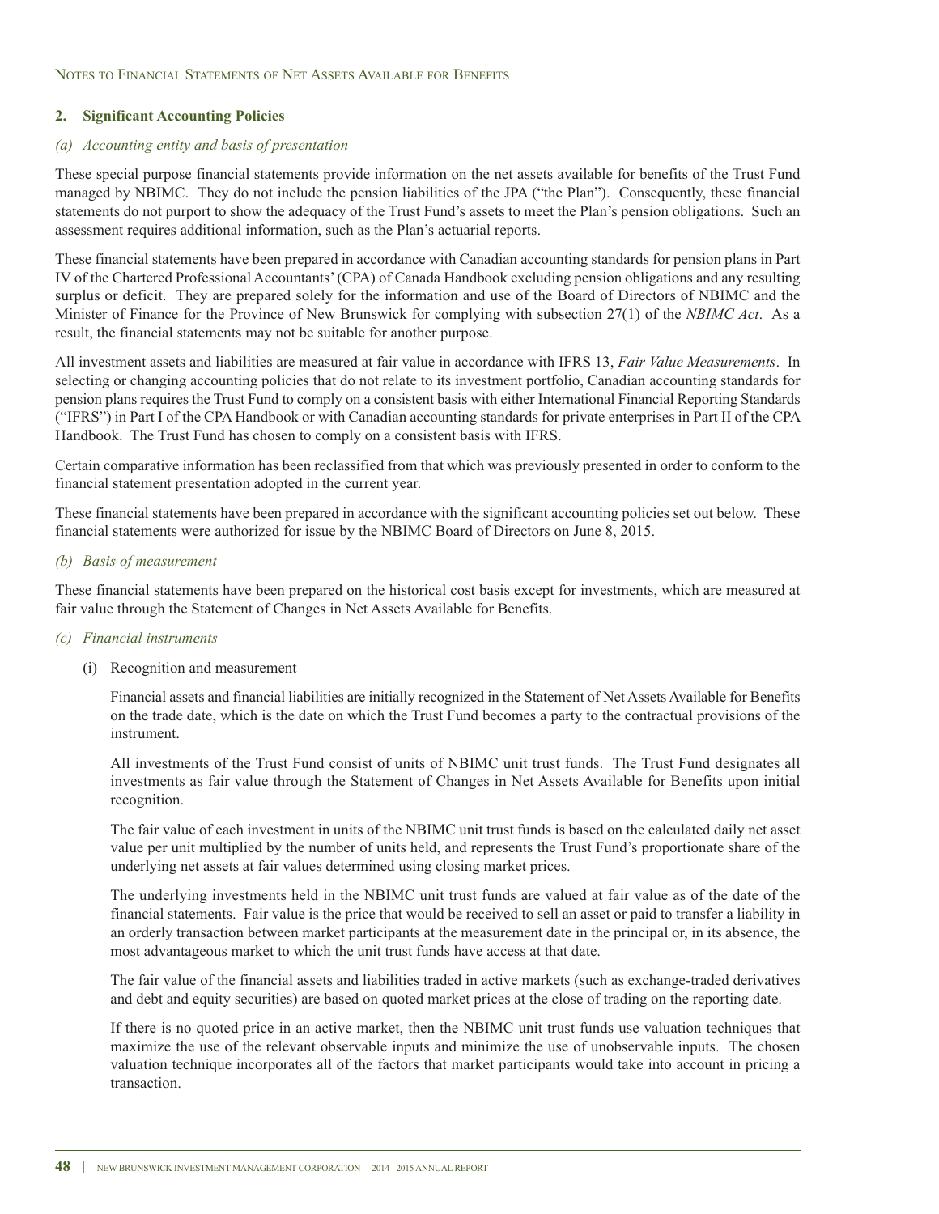# **2. Significant Accounting Policies**

#### *(a) Accounting entity and basis of presentation*

These special purpose financial statements provide information on the net assets available for benefits of the Trust Fund managed by NBIMC. They do not include the pension liabilities of the JPA ("the Plan"). Consequently, these financial statements do not purport to show the adequacy of the Trust Fund's assets to meet the Plan's pension obligations. Such an assessment requires additional information, such as the Plan's actuarial reports.

These financial statements have been prepared in accordance with Canadian accounting standards for pension plans in Part IV of the Chartered Professional Accountants'(CPA) of Canada Handbook excluding pension obligations and any resulting surplus or deficit. They are prepared solely for the information and use of the Board of Directors of NBIMC and the Minister of Finance for the Province of New Brunswick for complying with subsection 27(1) of the *NBIMC Act*. As a result, the financial statements may not be suitable for another purpose.

All investment assets and liabilities are measured at fair value in accordance with IFRS 13, *Fair Value Measurements*. In selecting or changing accounting policies that do not relate to its investment portfolio, Canadian accounting standards for pension plans requires the Trust Fund to comply on a consistent basis with either International Financial Reporting Standards ("IFRS") in Part I of the CPA Handbook or with Canadian accounting standards for private enterprises in Part II of the CPA Handbook. The Trust Fund has chosen to comply on a consistent basis with IFRS.

Certain comparative information has been reclassified from that which was previously presented in order to conform to the financial statement presentation adopted in the current year.

These financial statements have been prepared in accordance with the significant accounting policies set out below. These financial statements were authorized for issue by the NBIMC Board of Directors on June 8, 2015.

#### *(b) Basis of measurement*

These financial statements have been prepared on the historical cost basis except for investments, which are measured at fair value through the Statement of Changes in Net Assets Available for Benefits.

#### *(c) Financial instruments*

(i) Recognition and measurement

Financial assets and financial liabilities are initially recognized in the Statement of Net Assets Available for Benefits on the trade date, which is the date on which the Trust Fund becomes a party to the contractual provisions of the instrument.

All investments of the Trust Fund consist of units of NBIMC unit trust funds. The Trust Fund designates all investments as fair value through the Statement of Changes in Net Assets Available for Benefits upon initial recognition.

The fair value of each investment in units of the NBIMC unit trust funds is based on the calculated daily net asset value per unit multiplied by the number of units held, and represents the Trust Fund's proportionate share of the underlying net assets at fair values determined using closing market prices.

The underlying investments held in the NBIMC unit trust funds are valued at fair value as of the date of the financial statements. Fair value is the price that would be received to sell an asset or paid to transfer a liability in an orderly transaction between market participants at the measurement date in the principal or, in its absence, the most advantageous market to which the unit trust funds have access at that date.

The fair value of the financial assets and liabilities traded in active markets (such as exchange-traded derivatives and debt and equity securities) are based on quoted market prices at the close of trading on the reporting date.

If there is no quoted price in an active market, then the NBIMC unit trust funds use valuation techniques that maximize the use of the relevant observable inputs and minimize the use of unobservable inputs. The chosen valuation technique incorporates all of the factors that market participants would take into account in pricing a transaction.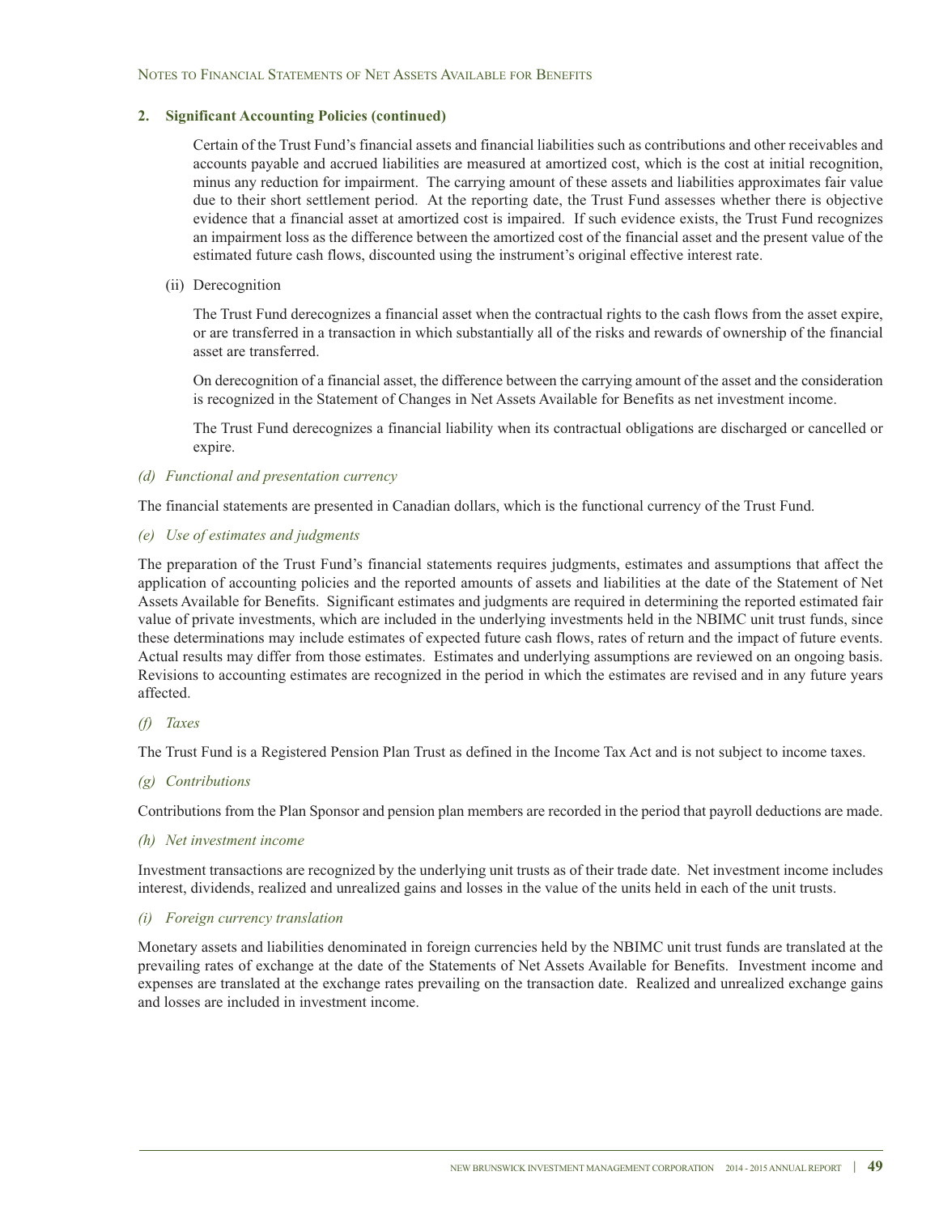# **2. Significant Accounting Policies (continued)**

Certain of the Trust Fund's financial assets and financial liabilities such as contributions and other receivables and accounts payable and accrued liabilities are measured at amortized cost, which is the cost at initial recognition, minus any reduction for impairment. The carrying amount of these assets and liabilities approximates fair value due to their short settlement period. At the reporting date, the Trust Fund assesses whether there is objective evidence that a financial asset at amortized cost is impaired. If such evidence exists, the Trust Fund recognizes an impairment loss as the difference between the amortized cost of the financial asset and the present value of the estimated future cash flows, discounted using the instrument's original effective interest rate.

(ii) Derecognition

The Trust Fund derecognizes a financial asset when the contractual rights to the cash flows from the asset expire, or are transferred in a transaction in which substantially all of the risks and rewards of ownership of the financial asset are transferred.

On derecognition of a financial asset, the difference between the carrying amount of the asset and the consideration is recognized in the Statement of Changes in Net Assets Available for Benefits as net investment income.

The Trust Fund derecognizes a financial liability when its contractual obligations are discharged or cancelled or expire.

*(d) Functional and presentation currency*

The financial statements are presented in Canadian dollars, which is the functional currency of the Trust Fund.

# *(e) Use of estimates and judgments*

The preparation of the Trust Fund's financial statements requires judgments, estimates and assumptions that affect the application of accounting policies and the reported amounts of assets and liabilities at the date of the Statement of Net Assets Available for Benefits. Significant estimates and judgments are required in determining the reported estimated fair value of private investments, which are included in the underlying investments held in the NBIMC unit trust funds, since these determinations may include estimates of expected future cash flows, rates of return and the impact of future events. Actual results may differ from those estimates. Estimates and underlying assumptions are reviewed on an ongoing basis. Revisions to accounting estimates are recognized in the period in which the estimates are revised and in any future years affected.

*(f) Taxes*

The Trust Fund is a Registered Pension Plan Trust as defined in the Income Tax Act and is not subject to income taxes.

*(g) Contributions*

Contributions from the Plan Sponsor and pension plan members are recorded in the period that payroll deductions are made.

*(h) Net investment income*

Investment transactions are recognized by the underlying unit trusts as of their trade date. Net investment income includes interest, dividends, realized and unrealized gains and losses in the value of the units held in each of the unit trusts.

#### *(i) Foreign currency translation*

Monetary assets and liabilities denominated in foreign currencies held by the NBIMC unit trust funds are translated at the prevailing rates of exchange at the date of the Statements of Net Assets Available for Benefits. Investment income and expenses are translated at the exchange rates prevailing on the transaction date. Realized and unrealized exchange gains and losses are included in investment income.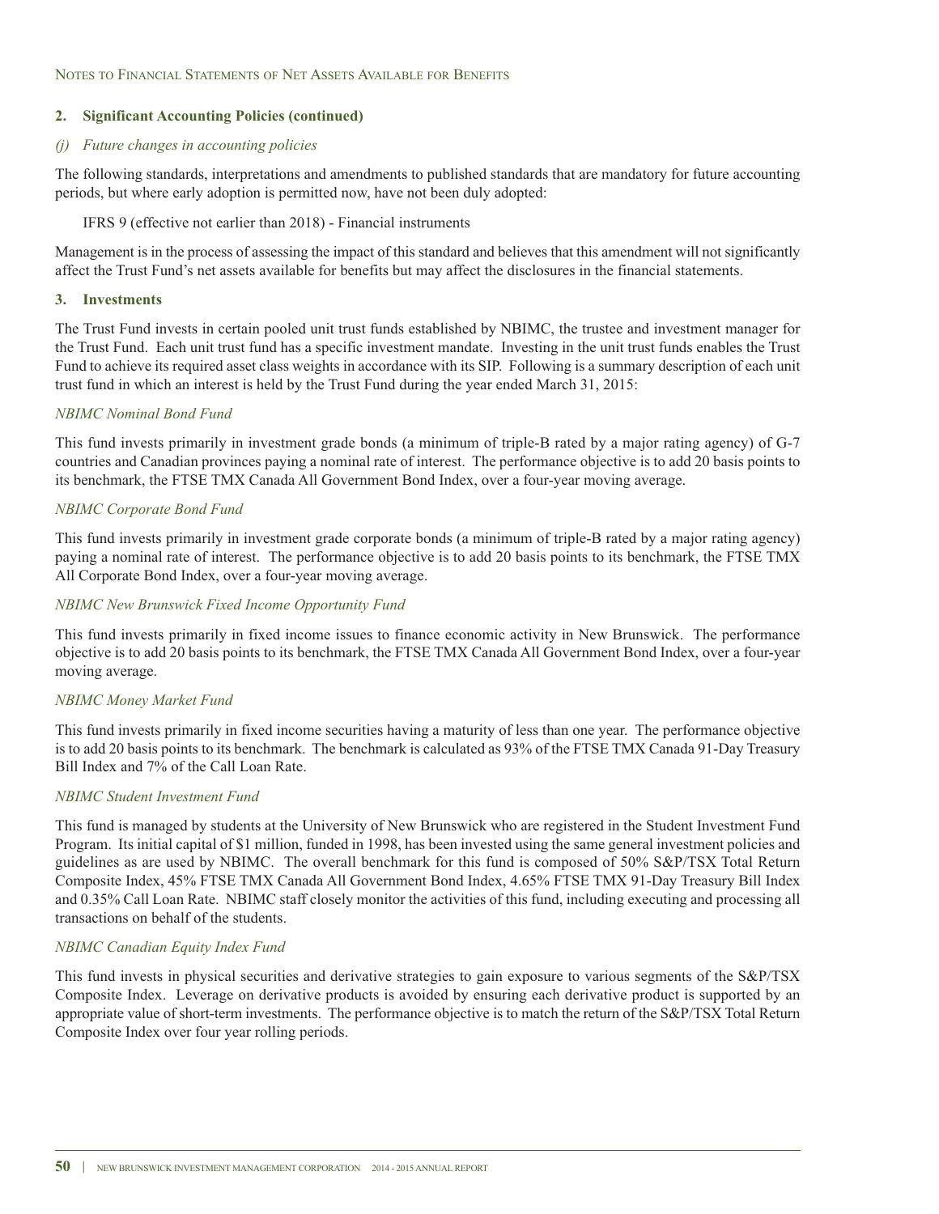# **2. Significant Accounting Policies (continued)**

#### *(j) Future changes in accounting policies*

The following standards, interpretations and amendments to published standards that are mandatory for future accounting periods, but where early adoption is permitted now, have not been duly adopted:

IFRS 9 (effective not earlier than 2018) - Financial instruments

Management is in the process of assessing the impact of this standard and believes that this amendment will not significantly affect the Trust Fund's net assets available for benefits but may affect the disclosures in the financial statements.

# **3. Investments**

The Trust Fund invests in certain pooled unit trust funds established by NBIMC, the trustee and investment manager for the Trust Fund. Each unit trust fund has a specific investment mandate. Investing in the unit trust funds enables the Trust Fund to achieve its required asset class weights in accordance with its SIP. Following is a summary description of each unit trust fund in which an interest is held by the Trust Fund during the year ended March 31, 2015:

# *NBIMC Nominal Bond Fund*

This fund invests primarily in investment grade bonds (a minimum of triple-B rated by a major rating agency) of G-7 countries and Canadian provinces paying a nominal rate of interest. The performance objective is to add 20 basis points to its benchmark, the FTSE TMX Canada All Government Bond Index, over a four-year moving average.

# *NBIMC Corporate Bond Fund*

This fund invests primarily in investment grade corporate bonds (a minimum of triple-B rated by a major rating agency) paying a nominal rate of interest. The performance objective is to add 20 basis points to its benchmark, the FTSE TMX All Corporate Bond Index, over a four-year moving average.

# *NBIMC New Brunswick Fixed Income Opportunity Fund*

This fund invests primarily in fixed income issues to finance economic activity in New Brunswick. The performance objective is to add 20 basis points to its benchmark, the FTSE TMX Canada All Government Bond Index, over a four-year moving average.

# *NBIMC Money Market Fund*

This fund invests primarily in fixed income securities having a maturity of less than one year. The performance objective is to add 20 basis points to its benchmark. The benchmark is calculated as 93% of the FTSE TMX Canada 91-Day Treasury Bill Index and 7% of the Call Loan Rate.

#### *NBIMC Student Investment Fund*

This fund is managed by students at the University of New Brunswick who are registered in the Student Investment Fund Program. Its initial capital of \$1 million, funded in 1998, has been invested using the same general investment policies and guidelines as are used by NBIMC. The overall benchmark for this fund is composed of 50% S&P/TSX Total Return Composite Index, 45% FTSE TMX Canada All Government Bond Index, 4.65% FTSE TMX 91-Day Treasury Bill Index and 0.35% Call Loan Rate. NBIMC staff closely monitor the activities of this fund, including executing and processing all transactions on behalf of the students.

#### *NBIMC Canadian Equity Index Fund*

This fund invests in physical securities and derivative strategies to gain exposure to various segments of the S&P/TSX Composite Index. Leverage on derivative products is avoided by ensuring each derivative product is supported by an appropriate value of short-term investments. The performance objective is to match the return of the S&P/TSX Total Return Composite Index over four year rolling periods.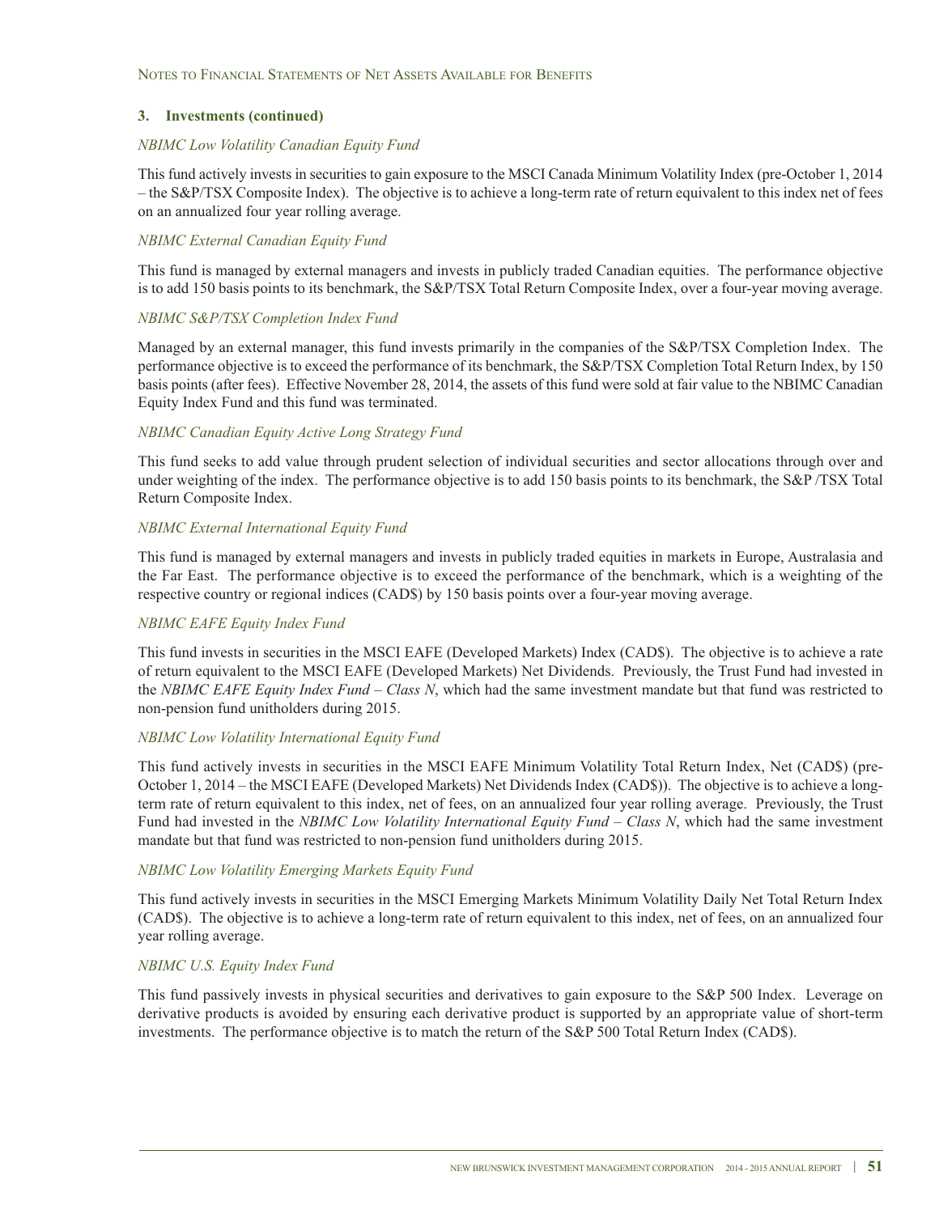# **3. Investments (continued)**

#### *NBIMC Low Volatility Canadian Equity Fund*

This fund actively invests in securities to gain exposure to the MSCI Canada Minimum Volatility Index (pre-October 1, 2014 – the S&P/TSX Composite Index). The objective is to achieve a long-term rate of return equivalent to this index net of fees on an annualized four year rolling average.

# *NBIMC External Canadian Equity Fund*

This fund is managed by external managers and invests in publicly traded Canadian equities. The performance objective is to add 150 basis points to its benchmark, the S&P/TSX Total Return Composite Index, over a four-year moving average.

# *NBIMC S&P/TSX Completion Index Fund*

Managed by an external manager, this fund invests primarily in the companies of the S&P/TSX Completion Index. The performance objective is to exceed the performance of its benchmark, the S&P/TSX Completion Total Return Index, by 150 basis points (after fees). Effective November 28, 2014, the assets of this fund were sold at fair value to the NBIMC Canadian Equity Index Fund and this fund was terminated.

#### *NBIMC Canadian Equity Active Long Strategy Fund*

This fund seeks to add value through prudent selection of individual securities and sector allocations through over and under weighting of the index. The performance objective is to add 150 basis points to its benchmark, the S&P/TSX Total Return Composite Index.

# *NBIMC External International Equity Fund*

This fund is managed by external managers and invests in publicly traded equities in markets in Europe, Australasia and the Far East. The performance objective is to exceed the performance of the benchmark, which is a weighting of the respective country or regional indices (CAD\$) by 150 basis points over a four-year moving average.

# *NBIMC EAFE Equity Index Fund*

This fund invests in securities in the MSCI EAFE (Developed Markets) Index (CAD\$). The objective is to achieve a rate of return equivalent to the MSCI EAFE (Developed Markets) Net Dividends. Previously, the Trust Fund had invested in the *NBIMC EAFE Equity Index Fund – Class N*, which had the same investment mandate but that fund was restricted to non-pension fund unitholders during 2015.

# *NBIMC Low Volatility International Equity Fund*

This fund actively invests in securities in the MSCI EAFE Minimum Volatility Total Return Index, Net (CAD\$) (pre-October 1, 2014 – the MSCI EAFE (Developed Markets) Net Dividends Index (CAD\$)). The objective is to achieve a longterm rate of return equivalent to this index, net of fees, on an annualized four year rolling average. Previously, the Trust Fund had invested in the *NBIMC Low Volatility International Equity Fund – Class N*, which had the same investment mandate but that fund was restricted to non-pension fund unitholders during 2015.

#### *NBIMC Low Volatility Emerging Markets Equity Fund*

This fund actively invests in securities in the MSCI Emerging Markets Minimum Volatility Daily Net Total Return Index (CAD\$). The objective is to achieve a long-term rate of return equivalent to this index, net of fees, on an annualized four year rolling average.

# *NBIMC U.S. Equity Index Fund*

This fund passively invests in physical securities and derivatives to gain exposure to the S&P 500 Index. Leverage on derivative products is avoided by ensuring each derivative product is supported by an appropriate value of short-term investments. The performance objective is to match the return of the S&P 500 Total Return Index (CAD\$).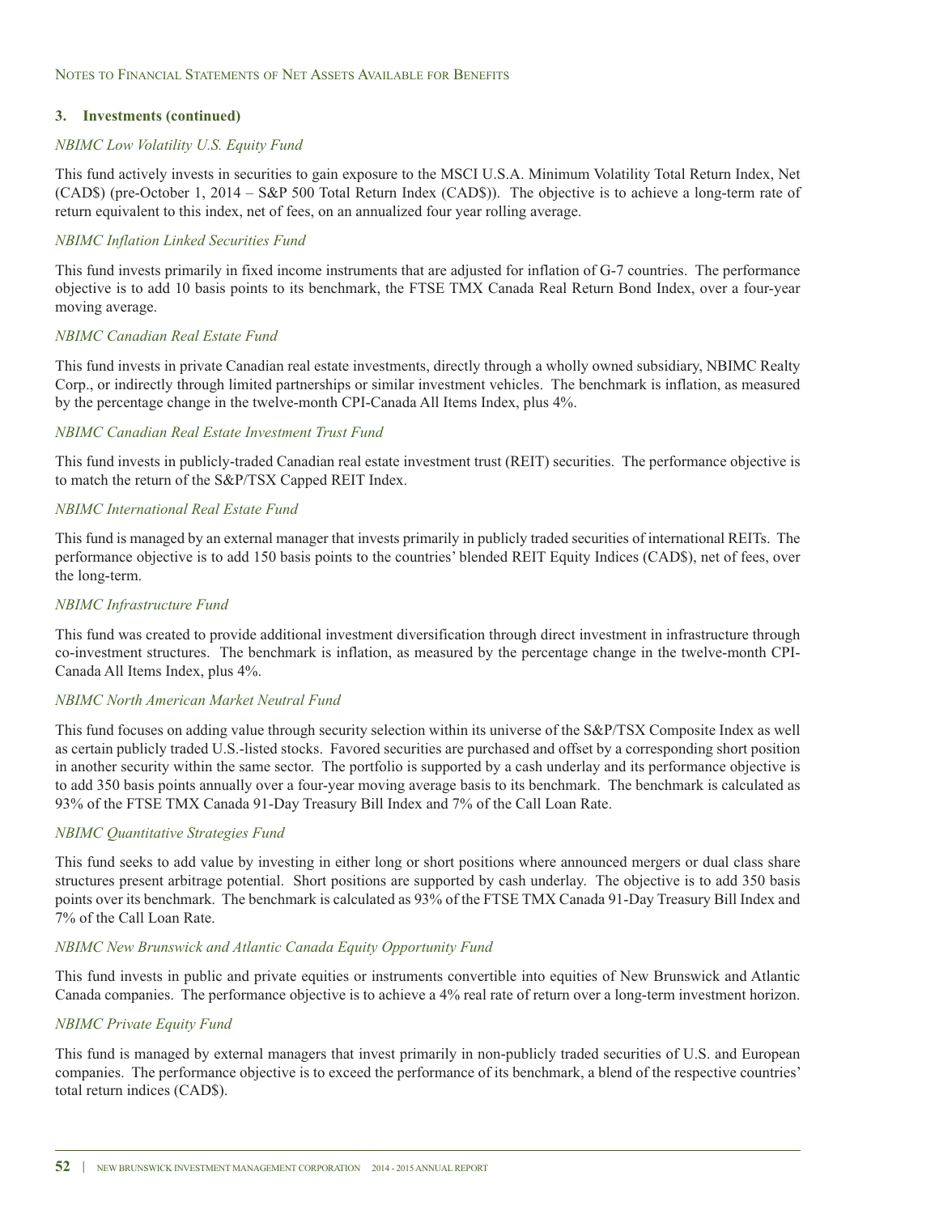# **3. Investments (continued)**

#### *NBIMC Low Volatility U.S. Equity Fund*

This fund actively invests in securities to gain exposure to the MSCI U.S.A. Minimum Volatility Total Return Index, Net (CAD\$) (pre-October 1, 2014 – S&P 500 Total Return Index (CAD\$)). The objective is to achieve a long-term rate of return equivalent to this index, net of fees, on an annualized four year rolling average.

# *NBIMC Inflation Linked Securities Fund*

This fund invests primarily in fixed income instruments that are adjusted for inflation of G-7 countries. The performance objective is to add 10 basis points to its benchmark, the FTSE TMX Canada Real Return Bond Index, over a four-year moving average.

#### *NBIMC Canadian Real Estate Fund*

This fund invests in private Canadian real estate investments, directly through a wholly owned subsidiary, NBIMC Realty Corp., or indirectly through limited partnerships or similar investment vehicles. The benchmark is inflation, as measured by the percentage change in the twelve-month CPI-Canada All Items Index, plus 4%.

# *NBIMC Canadian Real Estate Investment Trust Fund*

This fund invests in publicly-traded Canadian real estate investment trust (REIT) securities. The performance objective is to match the return of the S&P/TSX Capped REIT Index.

#### *NBIMC International Real Estate Fund*

This fund is managed by an external manager that invests primarily in publicly traded securities of international REITs. The performance objective is to add 150 basis points to the countries' blended REIT Equity Indices (CAD\$), net of fees, over the long-term.

#### *NBIMC Infrastructure Fund*

This fund was created to provide additional investment diversification through direct investment in infrastructure through co-investment structures. The benchmark is inflation, as measured by the percentage change in the twelve-month CPI-Canada All Items Index, plus 4%.

# *NBIMC North American Market Neutral Fund*

This fund focuses on adding value through security selection within its universe of the S&P/TSX Composite Index as well as certain publicly traded U.S.-listed stocks. Favored securities are purchased and offset by a corresponding short position in another security within the same sector. The portfolio is supported by a cash underlay and its performance objective is to add 350 basis points annually over a four-year moving average basis to its benchmark. The benchmark is calculated as 93% of the FTSE TMX Canada 91-Day Treasury Bill Index and 7% of the Call Loan Rate.

#### *NBIMC Quantitative Strategies Fund*

This fund seeks to add value by investing in either long or short positions where announced mergers or dual class share structures present arbitrage potential. Short positions are supported by cash underlay. The objective is to add 350 basis points over its benchmark. The benchmark is calculated as 93% of the FTSE TMX Canada 91-Day Treasury Bill Index and 7% of the Call Loan Rate.

#### *NBIMC New Brunswick and Atlantic Canada Equity Opportunity Fund*

This fund invests in public and private equities or instruments convertible into equities of New Brunswick and Atlantic Canada companies. The performance objective is to achieve a 4% real rate of return over a long-term investment horizon.

#### *NBIMC Private Equity Fund*

This fund is managed by external managers that invest primarily in non-publicly traded securities of U.S. and European companies. The performance objective is to exceed the performance of its benchmark, a blend of the respective countries' total return indices (CAD\$).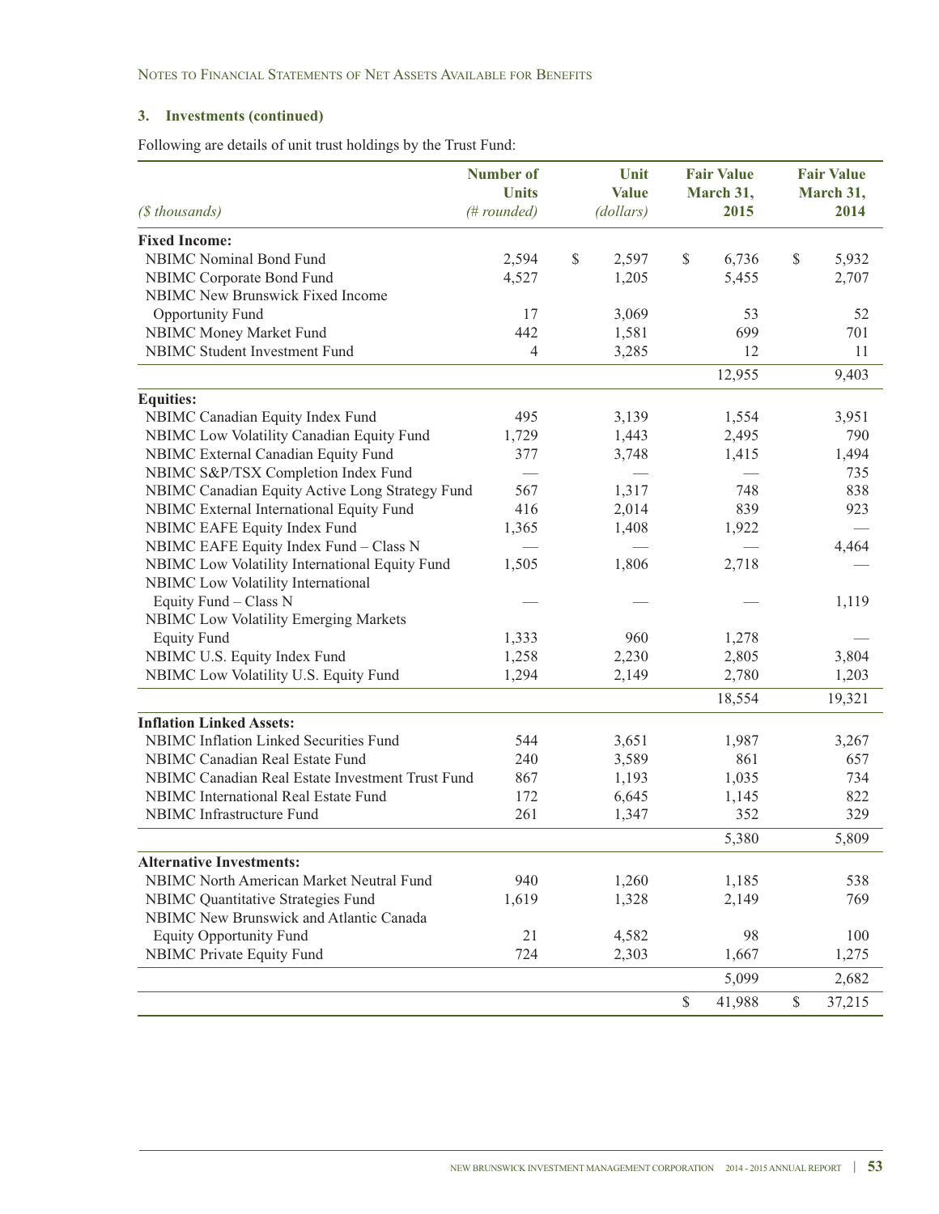# **3. Investments (continued)**

Following are details of unit trust holdings by the Trust Fund:

|                                                  | <b>Number of</b><br><b>Units</b> | Unit<br><b>Value</b> |              | <b>Fair Value</b><br>March 31, | <b>Fair Value</b><br>March 31, |
|--------------------------------------------------|----------------------------------|----------------------|--------------|--------------------------------|--------------------------------|
| (\$ thousands)                                   | (# rounded)                      | (dollars)            |              | 2015                           | 2014                           |
| <b>Fixed Income:</b>                             |                                  |                      |              |                                |                                |
| <b>NBIMC</b> Nominal Bond Fund                   | 2,594                            | \$<br>2,597          | \$           | 6,736                          | \$<br>5,932                    |
| NBIMC Corporate Bond Fund                        | 4,527                            | 1,205                |              | 5,455                          | 2,707                          |
| NBIMC New Brunswick Fixed Income                 |                                  |                      |              |                                |                                |
| Opportunity Fund                                 | 17                               | 3,069                |              | 53                             | 52                             |
| NBIMC Money Market Fund                          | 442                              | 1,581                |              | 699                            | 701                            |
| <b>NBIMC Student Investment Fund</b>             | $\overline{4}$                   | 3,285                |              | 12                             | 11                             |
|                                                  |                                  |                      |              | 12,955                         | 9,403                          |
| <b>Equities:</b>                                 |                                  |                      |              |                                |                                |
| NBIMC Canadian Equity Index Fund                 | 495                              | 3,139                |              | 1,554                          | 3,951                          |
| NBIMC Low Volatility Canadian Equity Fund        | 1,729                            | 1,443                |              | 2,495                          | 790                            |
| NBIMC External Canadian Equity Fund              | 377                              | 3,748                |              | 1,415                          | 1,494                          |
| NBIMC S&P/TSX Completion Index Fund              |                                  |                      |              |                                | 735                            |
| NBIMC Canadian Equity Active Long Strategy Fund  | 567                              | 1,317                |              | 748                            | 838                            |
| NBIMC External International Equity Fund         | 416                              | 2,014                |              | 839                            | 923                            |
| NBIMC EAFE Equity Index Fund                     | 1,365                            | 1,408                |              | 1,922                          |                                |
| NBIMC EAFE Equity Index Fund - Class N           |                                  |                      |              |                                | 4,464                          |
| NBIMC Low Volatility International Equity Fund   | 1,505                            | 1,806                |              | 2,718                          |                                |
| NBIMC Low Volatility International               |                                  |                      |              |                                |                                |
| Equity Fund - Class N                            |                                  |                      |              |                                | 1,119                          |
| NBIMC Low Volatility Emerging Markets            |                                  |                      |              |                                |                                |
| <b>Equity Fund</b>                               | 1,333                            | 960                  |              | 1,278                          |                                |
| NBIMC U.S. Equity Index Fund                     | 1,258                            | 2,230                |              | 2,805                          | 3,804                          |
| NBIMC Low Volatility U.S. Equity Fund            | 1,294                            | 2,149                |              | 2,780                          | 1,203                          |
|                                                  |                                  |                      |              | 18,554                         | 19,321                         |
| <b>Inflation Linked Assets:</b>                  |                                  |                      |              |                                |                                |
| NBIMC Inflation Linked Securities Fund           | 544                              | 3,651                |              | 1,987                          | 3,267                          |
| NBIMC Canadian Real Estate Fund                  | 240                              | 3,589                |              | 861                            | 657                            |
| NBIMC Canadian Real Estate Investment Trust Fund | 867                              | 1,193                |              | 1,035                          | 734                            |
| <b>NBIMC</b> International Real Estate Fund      | 172                              | 6,645                |              | 1,145                          | 822                            |
| NBIMC Infrastructure Fund                        | 261                              | 1,347                |              | 352                            | 329                            |
|                                                  |                                  |                      |              | 5,380                          | 5,809                          |
| <b>Alternative Investments:</b>                  |                                  |                      |              |                                |                                |
| NBIMC North American Market Neutral Fund         | 940                              | 1,260                |              | 1,185                          | 538                            |
| <b>NBIMC</b> Quantitative Strategies Fund        | 1,619                            | 1,328                |              | 2,149                          | 769                            |
| NBIMC New Brunswick and Atlantic Canada          |                                  |                      |              |                                |                                |
| <b>Equity Opportunity Fund</b>                   | 21                               | 4,582                |              | 98                             | 100                            |
| <b>NBIMC Private Equity Fund</b>                 | 724                              | 2,303                |              | 1,667                          | 1,275                          |
|                                                  |                                  |                      |              | 5,099                          | 2,682                          |
|                                                  |                                  |                      | $\mathbb{S}$ | 41,988                         | \$<br>37,215                   |
|                                                  |                                  |                      |              |                                |                                |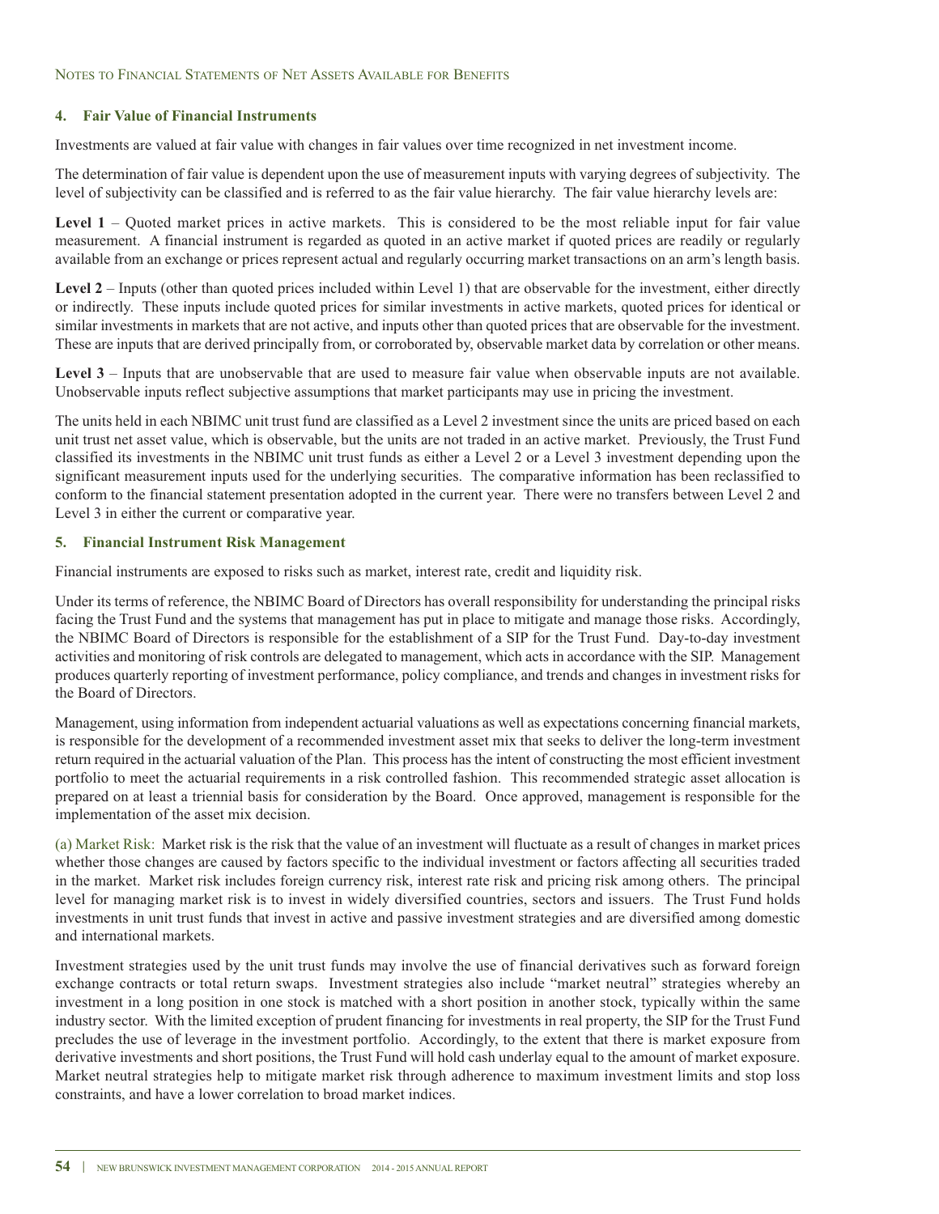# **4. Fair Value of Financial Instruments**

Investments are valued at fair value with changes in fair values over time recognized in net investment income.

The determination of fair value is dependent upon the use of measurement inputs with varying degrees of subjectivity. The level of subjectivity can be classified and is referred to as the fair value hierarchy. The fair value hierarchy levels are:

**Level 1** – Quoted market prices in active markets. This is considered to be the most reliable input for fair value measurement. A financial instrument is regarded as quoted in an active market if quoted prices are readily or regularly available from an exchange or prices represent actual and regularly occurring market transactions on an arm's length basis.

**Level 2** – Inputs (other than quoted prices included within Level 1) that are observable for the investment, either directly or indirectly. These inputs include quoted prices for similar investments in active markets, quoted prices for identical or similar investments in markets that are not active, and inputs other than quoted prices that are observable for the investment. These are inputs that are derived principally from, or corroborated by, observable market data by correlation or other means.

**Level 3** – Inputs that are unobservable that are used to measure fair value when observable inputs are not available. Unobservable inputs reflect subjective assumptions that market participants may use in pricing the investment.

The units held in each NBIMC unit trust fund are classified as a Level 2 investment since the units are priced based on each unit trust net asset value, which is observable, but the units are not traded in an active market. Previously, the Trust Fund classified its investments in the NBIMC unit trust funds as either a Level 2 or a Level 3 investment depending upon the significant measurement inputs used for the underlying securities. The comparative information has been reclassified to conform to the financial statement presentation adopted in the current year. There were no transfers between Level 2 and Level 3 in either the current or comparative year.

#### **5. Financial Instrument Risk Management**

Financial instruments are exposed to risks such as market, interest rate, credit and liquidity risk.

Under its terms of reference, the NBIMC Board of Directors has overall responsibility for understanding the principal risks facing the Trust Fund and the systems that management has put in place to mitigate and manage those risks. Accordingly, the NBIMC Board of Directors is responsible for the establishment of a SIP for the Trust Fund. Day-to-day investment activities and monitoring of risk controls are delegated to management, which acts in accordance with the SIP. Management produces quarterly reporting of investment performance, policy compliance, and trends and changes in investment risks for the Board of Directors.

Management, using information from independent actuarial valuations as well as expectations concerning financial markets, is responsible for the development of a recommended investment asset mix that seeks to deliver the long-term investment return required in the actuarial valuation of the Plan. This process has the intent of constructing the most efficient investment portfolio to meet the actuarial requirements in a risk controlled fashion. This recommended strategic asset allocation is prepared on at least a triennial basis for consideration by the Board. Once approved, management is responsible for the implementation of the asset mix decision.

(a) Market Risk: Market risk is the risk that the value of an investment will fluctuate as a result of changes in market prices whether those changes are caused by factors specific to the individual investment or factors affecting all securities traded in the market. Market risk includes foreign currency risk, interest rate risk and pricing risk among others. The principal level for managing market risk is to invest in widely diversified countries, sectors and issuers. The Trust Fund holds investments in unit trust funds that invest in active and passive investment strategies and are diversified among domestic and international markets.

Investment strategies used by the unit trust funds may involve the use of financial derivatives such as forward foreign exchange contracts or total return swaps. Investment strategies also include "market neutral" strategies whereby an investment in a long position in one stock is matched with a short position in another stock, typically within the same industry sector. With the limited exception of prudent financing for investments in real property, the SIP for the Trust Fund precludes the use of leverage in the investment portfolio. Accordingly, to the extent that there is market exposure from derivative investments and short positions, the Trust Fund will hold cash underlay equal to the amount of market exposure. Market neutral strategies help to mitigate market risk through adherence to maximum investment limits and stop loss constraints, and have a lower correlation to broad market indices.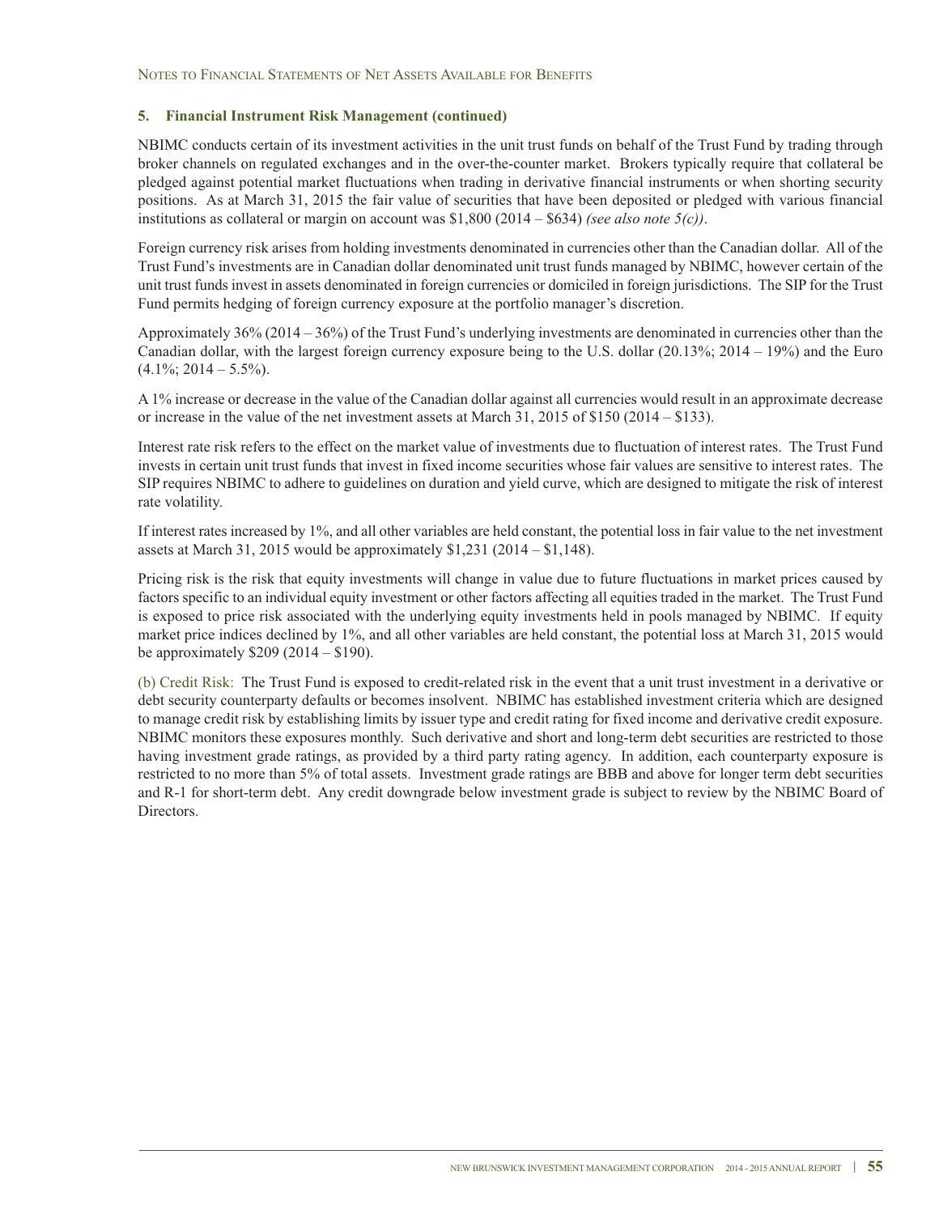NBIMC conducts certain of its investment activities in the unit trust funds on behalf of the Trust Fund by trading through broker channels on regulated exchanges and in the over-the-counter market. Brokers typically require that collateral be pledged against potential market fluctuations when trading in derivative financial instruments or when shorting security positions. As at March 31, 2015 the fair value of securities that have been deposited or pledged with various financial institutions as collateral or margin on account was \$1,800 (2014 – \$634) *(see also note 5(c))*.

Foreign currency risk arises from holding investments denominated in currencies other than the Canadian dollar. All of the Trust Fund's investments are in Canadian dollar denominated unit trust funds managed by NBIMC, however certain of the unit trust funds invest in assets denominated in foreign currencies or domiciled in foreign jurisdictions. The SIP for the Trust Fund permits hedging of foreign currency exposure at the portfolio manager's discretion.

Approximately 36% (2014 – 36%) of the Trust Fund's underlying investments are denominated in currencies other than the Canadian dollar, with the largest foreign currency exposure being to the U.S. dollar (20.13%; 2014 – 19%) and the Euro  $(4.1\%; 2014 - 5.5\%)$ .

A 1% increase or decrease in the value of the Canadian dollar against all currencies would result in an approximate decrease or increase in the value of the net investment assets at March 31, 2015 of \$150 (2014 – \$133).

Interest rate risk refers to the effect on the market value of investments due to fluctuation of interest rates. The Trust Fund invests in certain unit trust funds that invest in fixed income securities whose fair values are sensitive to interest rates. The SIP requires NBIMC to adhere to guidelines on duration and yield curve, which are designed to mitigate the risk of interest rate volatility.

If interest rates increased by 1%, and all other variables are held constant, the potential loss in fair value to the net investment assets at March 31, 2015 would be approximately  $$1,231$  (2014 –  $$1,148$ ).

Pricing risk is the risk that equity investments will change in value due to future fluctuations in market prices caused by factors specific to an individual equity investment or other factors affecting all equities traded in the market. The Trust Fund is exposed to price risk associated with the underlying equity investments held in pools managed by NBIMC. If equity market price indices declined by 1%, and all other variables are held constant, the potential loss at March 31, 2015 would be approximately \$209 (2014 – \$190).

(b) Credit Risk: The Trust Fund is exposed to credit-related risk in the event that a unit trust investment in a derivative or debt security counterparty defaults or becomes insolvent. NBIMC has established investment criteria which are designed to manage credit risk by establishing limits by issuer type and credit rating for fixed income and derivative credit exposure. NBIMC monitors these exposures monthly. Such derivative and short and long-term debt securities are restricted to those having investment grade ratings, as provided by a third party rating agency. In addition, each counterparty exposure is restricted to no more than 5% of total assets. Investment grade ratings are BBB and above for longer term debt securities and R-1 for short-term debt. Any credit downgrade below investment grade is subject to review by the NBIMC Board of **Directors**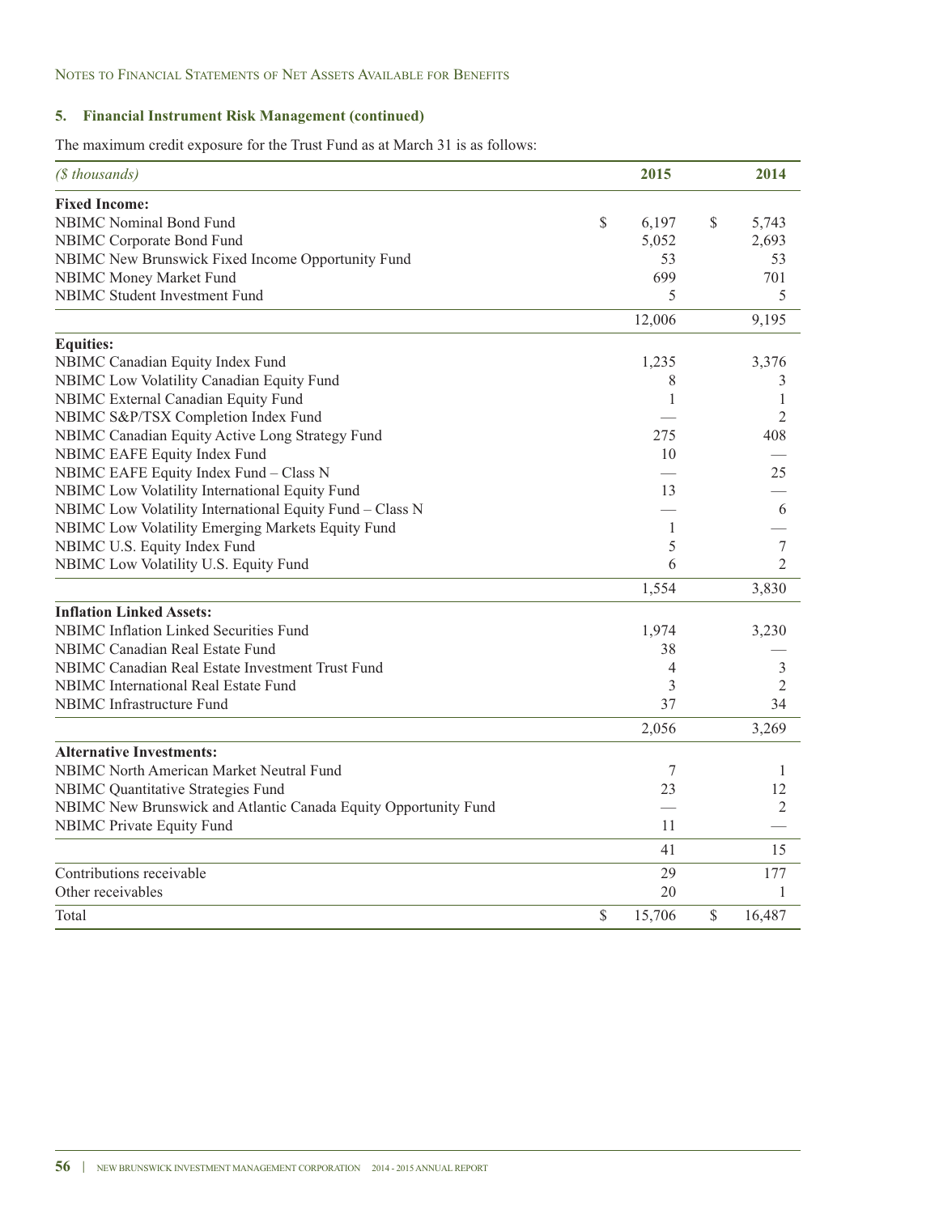The maximum credit exposure for the Trust Fund as at March 31 is as follows:

| (\$ thousands)                                                  |    | 2015   | 2014             |
|-----------------------------------------------------------------|----|--------|------------------|
| <b>Fixed Income:</b>                                            |    |        |                  |
| <b>NBIMC</b> Nominal Bond Fund                                  | \$ | 6,197  | \$<br>5,743      |
| NBIMC Corporate Bond Fund                                       |    | 5,052  | 2,693            |
| NBIMC New Brunswick Fixed Income Opportunity Fund               |    | 53     | 53               |
| NBIMC Money Market Fund                                         |    | 699    | 701              |
| <b>NBIMC Student Investment Fund</b>                            |    | 5      | 5                |
|                                                                 |    | 12,006 | 9,195            |
| <b>Equities:</b>                                                |    |        |                  |
| NBIMC Canadian Equity Index Fund                                |    | 1,235  | 3,376            |
| NBIMC Low Volatility Canadian Equity Fund                       |    | 8      | 3                |
| NBIMC External Canadian Equity Fund                             |    | 1      | 1                |
| NBIMC S&P/TSX Completion Index Fund                             |    |        | $\overline{2}$   |
| NBIMC Canadian Equity Active Long Strategy Fund                 |    | 275    | 408              |
| NBIMC EAFE Equity Index Fund                                    |    | 10     |                  |
| NBIMC EAFE Equity Index Fund - Class N                          |    |        | 25               |
| NBIMC Low Volatility International Equity Fund                  |    | 13     |                  |
| NBIMC Low Volatility International Equity Fund - Class N        |    |        | 6                |
| NBIMC Low Volatility Emerging Markets Equity Fund               |    | 1      |                  |
| NBIMC U.S. Equity Index Fund                                    |    | 5      | $\boldsymbol{7}$ |
| NBIMC Low Volatility U.S. Equity Fund                           |    | 6      | 2                |
|                                                                 |    | 1,554  | 3,830            |
| <b>Inflation Linked Assets:</b>                                 |    |        |                  |
| NBIMC Inflation Linked Securities Fund                          |    | 1,974  | 3,230            |
| NBIMC Canadian Real Estate Fund                                 |    | 38     |                  |
| NBIMC Canadian Real Estate Investment Trust Fund                |    | 4      | $\mathfrak{Z}$   |
| <b>NBIMC</b> International Real Estate Fund                     |    | 3      | $\overline{2}$   |
| NBIMC Infrastructure Fund                                       |    | 37     | 34               |
|                                                                 |    | 2,056  | 3,269            |
| <b>Alternative Investments:</b>                                 |    |        |                  |
| NBIMC North American Market Neutral Fund                        |    | 7      | 1                |
| <b>NBIMC Quantitative Strategies Fund</b>                       |    | 23     | 12               |
| NBIMC New Brunswick and Atlantic Canada Equity Opportunity Fund |    |        | 2                |
| <b>NBIMC Private Equity Fund</b>                                |    | 11     |                  |
|                                                                 |    | 41     | 15               |
| Contributions receivable                                        |    | 29     | 177              |
| Other receivables                                               |    | 20     | 1                |
| Total                                                           | S  | 15,706 | \$<br>16,487     |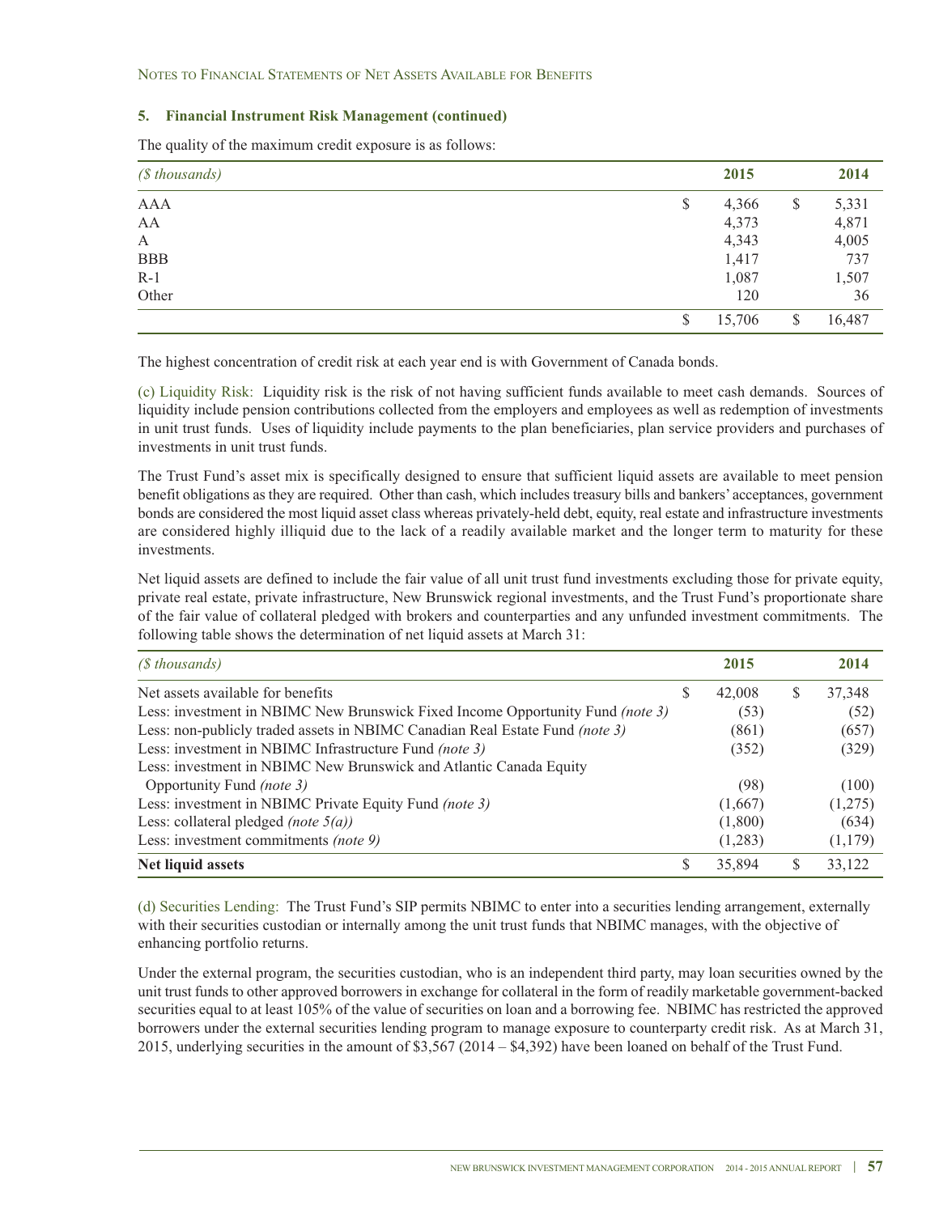| $(S$ thousands) | 2015         | 2014         |
|-----------------|--------------|--------------|
| <b>AAA</b>      | \$<br>4,366  | \$<br>5,331  |
| AA              | 4,373        | 4,871        |
| $\mathbf{A}$    | 4,343        | 4,005        |
| <b>BBB</b>      | 1,417        | 737          |
| $R-1$           | 1,087        | 1,507        |
| Other           | 120          | 36           |
|                 | 15,706<br>\$ | \$<br>16,487 |

The quality of the maximum credit exposure is as follows:

The highest concentration of credit risk at each year end is with Government of Canada bonds.

(c) Liquidity Risk: Liquidity risk is the risk of not having sufficient funds available to meet cash demands. Sources of liquidity include pension contributions collected from the employers and employees as well as redemption of investments in unit trust funds. Uses of liquidity include payments to the plan beneficiaries, plan service providers and purchases of investments in unit trust funds.

The Trust Fund's asset mix is specifically designed to ensure that sufficient liquid assets are available to meet pension benefit obligations as they are required. Other than cash, which includes treasury bills and bankers' acceptances, government bonds are considered the most liquid asset class whereas privately-held debt, equity, real estate and infrastructure investments are considered highly illiquid due to the lack of a readily available market and the longer term to maturity for these investments.

Net liquid assets are defined to include the fair value of all unit trust fund investments excluding those for private equity, private real estate, private infrastructure, New Brunswick regional investments, and the Trust Fund's proportionate share of the fair value of collateral pledged with brokers and counterparties and any unfunded investment commitments. The following table shows the determination of net liquid assets at March 31:

| $(S$ thousands)                                                                |   | 2015    |    | 2014    |
|--------------------------------------------------------------------------------|---|---------|----|---------|
| Net assets available for benefits                                              | S | 42,008  | S  | 37,348  |
| Less: investment in NBIMC New Brunswick Fixed Income Opportunity Fund (note 3) |   | (53)    |    | (52)    |
| Less: non-publicly traded assets in NBIMC Canadian Real Estate Fund (note 3)   |   | (861)   |    | (657)   |
| Less: investment in NBIMC Infrastructure Fund (note 3)                         |   | (352)   |    | (329)   |
| Less: investment in NBIMC New Brunswick and Atlantic Canada Equity             |   |         |    |         |
| Opportunity Fund (note 3)                                                      |   | (98)    |    | (100)   |
| Less: investment in NBIMC Private Equity Fund (note 3)                         |   | (1,667) |    | (1,275) |
| Less: collateral pledged (note $5(a)$ )                                        |   | (1,800) |    | (634)   |
| Less: investment commitments (note 9)                                          |   | (1,283) |    | (1,179) |
| Net liquid assets                                                              |   | 35,894  | \$ | 33,122  |

(d) Securities Lending: The Trust Fund's SIP permits NBIMC to enter into a securities lending arrangement, externally with their securities custodian or internally among the unit trust funds that NBIMC manages, with the objective of enhancing portfolio returns.

Under the external program, the securities custodian, who is an independent third party, may loan securities owned by the unit trust funds to other approved borrowers in exchange for collateral in the form of readily marketable government-backed securities equal to at least 105% of the value of securities on loan and a borrowing fee. NBIMC has restricted the approved borrowers under the external securities lending program to manage exposure to counterparty credit risk. As at March 31, 2015, underlying securities in the amount of \$3,567 (2014 – \$4,392) have been loaned on behalf of the Trust Fund.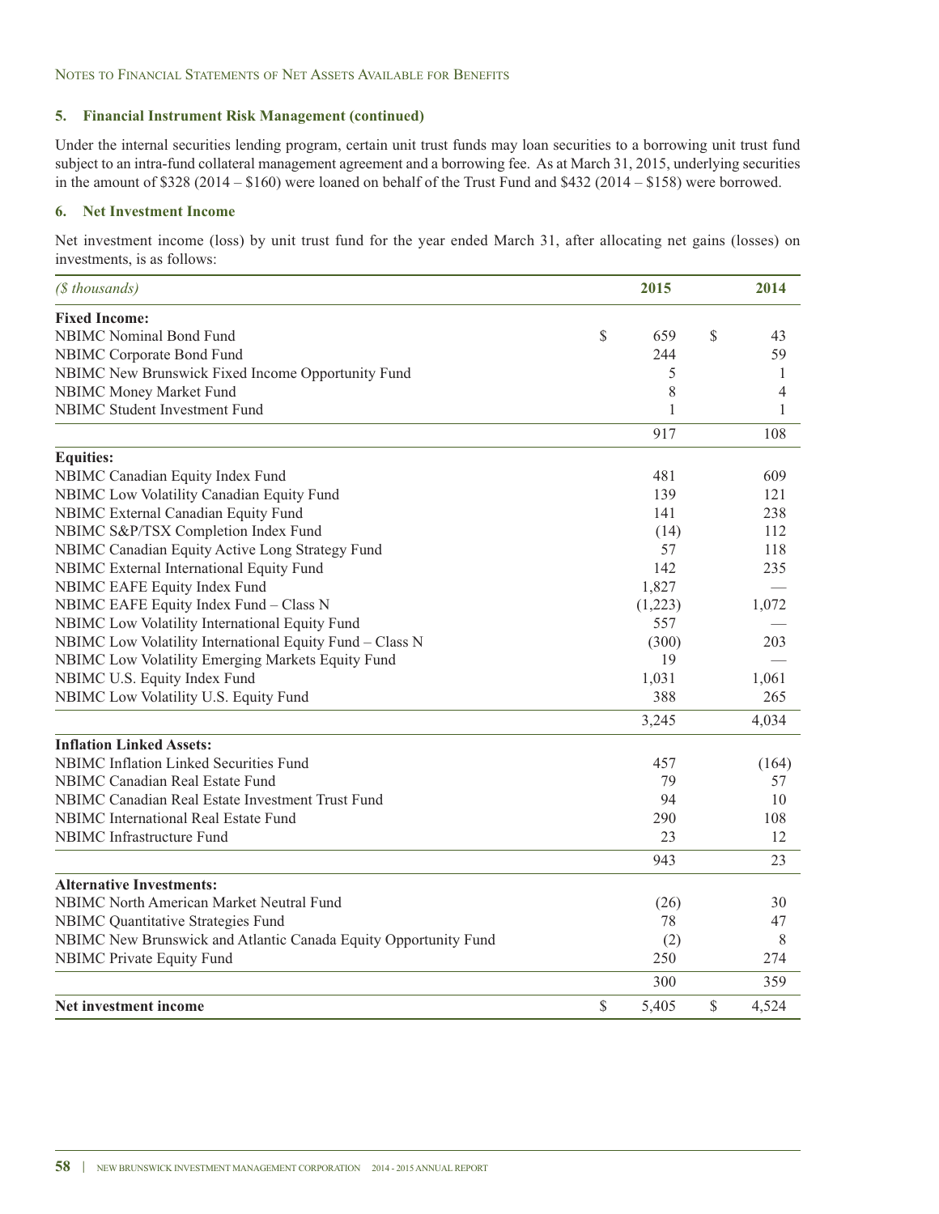Under the internal securities lending program, certain unit trust funds may loan securities to a borrowing unit trust fund subject to an intra-fund collateral management agreement and a borrowing fee. As at March 31, 2015, underlying securities in the amount of \$328 (2014 – \$160) were loaned on behalf of the Trust Fund and \$432 (2014 – \$158) were borrowed.

# **6. Net Investment Income**

Net investment income (loss) by unit trust fund for the year ended March 31, after allocating net gains (losses) on investments, is as follows:

| (\$ thousands)                                                  | 2015        | 2014           |
|-----------------------------------------------------------------|-------------|----------------|
| <b>Fixed Income:</b>                                            |             |                |
| <b>NBIMC</b> Nominal Bond Fund                                  | \$<br>659   | \$<br>43       |
| NBIMC Corporate Bond Fund                                       | 244         | 59             |
| NBIMC New Brunswick Fixed Income Opportunity Fund               | 5           | 1              |
| NBIMC Money Market Fund                                         | 8           | $\overline{4}$ |
| <b>NBIMC Student Investment Fund</b>                            | 1           | 1              |
|                                                                 | 917         | 108            |
| <b>Equities:</b>                                                |             |                |
| NBIMC Canadian Equity Index Fund                                | 481         | 609            |
| NBIMC Low Volatility Canadian Equity Fund                       | 139         | 121            |
| NBIMC External Canadian Equity Fund                             | 141         | 238            |
| NBIMC S&P/TSX Completion Index Fund                             | (14)        | 112            |
| NBIMC Canadian Equity Active Long Strategy Fund                 | 57          | 118            |
| NBIMC External International Equity Fund                        | 142         | 235            |
| NBIMC EAFE Equity Index Fund                                    | 1,827       |                |
| NBIMC EAFE Equity Index Fund - Class N                          | (1,223)     | 1,072          |
| NBIMC Low Volatility International Equity Fund                  | 557         |                |
| NBIMC Low Volatility International Equity Fund - Class N        | (300)       | 203            |
| NBIMC Low Volatility Emerging Markets Equity Fund               | 19          |                |
| NBIMC U.S. Equity Index Fund                                    | 1,031       | 1,061          |
| NBIMC Low Volatility U.S. Equity Fund                           | 388         | 265            |
|                                                                 | 3,245       | 4,034          |
| <b>Inflation Linked Assets:</b>                                 |             |                |
| NBIMC Inflation Linked Securities Fund                          | 457         | (164)          |
| NBIMC Canadian Real Estate Fund                                 | 79          | 57             |
| NBIMC Canadian Real Estate Investment Trust Fund                | 94          | 10             |
| NBIMC International Real Estate Fund                            | 290         | 108            |
| NBIMC Infrastructure Fund                                       | 23          | 12             |
|                                                                 | 943         | 23             |
| <b>Alternative Investments:</b>                                 |             |                |
| NBIMC North American Market Neutral Fund                        | (26)        | 30             |
| <b>NBIMC Quantitative Strategies Fund</b>                       | 78          | 47             |
| NBIMC New Brunswick and Atlantic Canada Equity Opportunity Fund | (2)         | 8              |
| <b>NBIMC Private Equity Fund</b>                                | 250         | 274            |
|                                                                 | 300         | 359            |
| <b>Net investment income</b>                                    | \$<br>5,405 | \$<br>4,524    |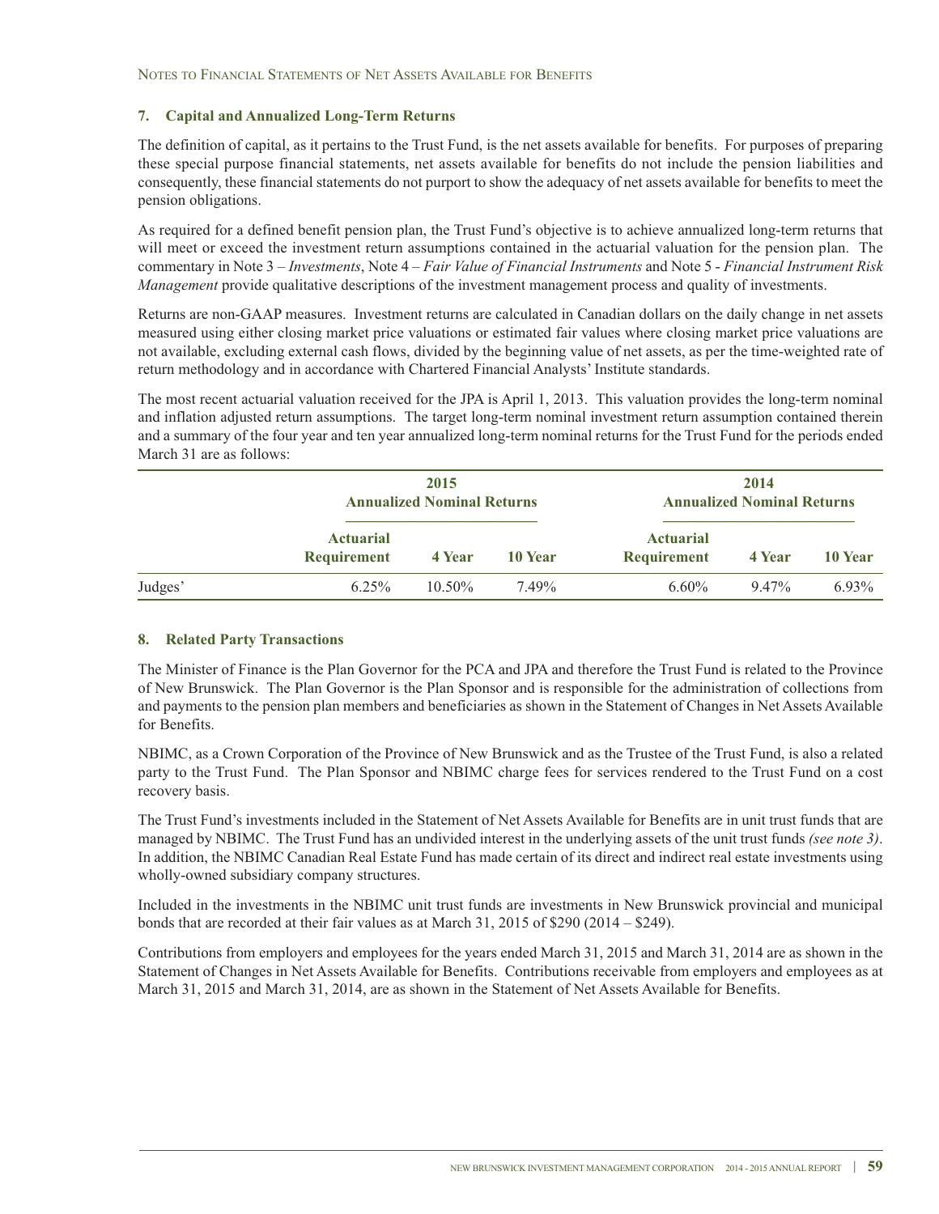# **7. Capital and Annualized Long-Term Returns**

The definition of capital, as it pertains to the Trust Fund, is the net assets available for benefits. For purposes of preparing these special purpose financial statements, net assets available for benefits do not include the pension liabilities and consequently, these financial statements do not purport to show the adequacy of net assets available for benefits to meet the pension obligations.

As required for a defined benefit pension plan, the Trust Fund's objective is to achieve annualized long-term returns that will meet or exceed the investment return assumptions contained in the actuarial valuation for the pension plan. The commentary in Note 3 – *Investments*, Note 4 – *Fair Value of Financial Instruments* and Note 5 - *Financial Instrument Risk Management* provide qualitative descriptions of the investment management process and quality of investments.

Returns are non-GAAP measures. Investment returns are calculated in Canadian dollars on the daily change in net assets measured using either closing market price valuations or estimated fair values where closing market price valuations are not available, excluding external cash flows, divided by the beginning value of net assets, as per the time-weighted rate of return methodology and in accordance with Chartered Financial Analysts' Institute standards.

The most recent actuarial valuation received for the JPA is April 1, 2013. This valuation provides the long-term nominal and inflation adjusted return assumptions. The target long-term nominal investment return assumption contained therein and a summary of the four year and ten year annualized long-term nominal returns for the Trust Fund for the periods ended March 31 are as follows:

|         |                                        | 2015<br><b>Annualized Nominal Returns</b> |         |                                        | 2014<br><b>Annualized Nominal Returns</b> |          |
|---------|----------------------------------------|-------------------------------------------|---------|----------------------------------------|-------------------------------------------|----------|
|         | <b>Actuarial</b><br><b>Requirement</b> | 4 Year                                    | 10 Year | <b>Actuarial</b><br><b>Requirement</b> | 4 Year                                    | 10 Year  |
| Judges' | $6.25\%$                               | $10.50\%$                                 | 7.49%   | $6.60\%$                               | $9.47\%$                                  | $6.93\%$ |

# **8. Related Party Transactions**

The Minister of Finance is the Plan Governor for the PCA and JPA and therefore the Trust Fund is related to the Province of New Brunswick. The Plan Governor is the Plan Sponsor and is responsible for the administration of collections from and payments to the pension plan members and beneficiaries as shown in the Statement of Changes in Net Assets Available for Benefits.

NBIMC, as a Crown Corporation of the Province of New Brunswick and as the Trustee of the Trust Fund, is also a related party to the Trust Fund. The Plan Sponsor and NBIMC charge fees for services rendered to the Trust Fund on a cost recovery basis.

The Trust Fund's investments included in the Statement of Net Assets Available for Benefits are in unit trust funds that are managed by NBIMC. The Trust Fund has an undivided interest in the underlying assets of the unit trust funds *(see note 3)*. In addition, the NBIMC Canadian Real Estate Fund has made certain of its direct and indirect real estate investments using wholly-owned subsidiary company structures.

Included in the investments in the NBIMC unit trust funds are investments in New Brunswick provincial and municipal bonds that are recorded at their fair values as at March 31, 2015 of \$290 (2014 – \$249).

Contributions from employers and employees for the years ended March 31, 2015 and March 31, 2014 are as shown in the Statement of Changes in Net Assets Available for Benefits. Contributions receivable from employers and employees as at March 31, 2015 and March 31, 2014, are as shown in the Statement of Net Assets Available for Benefits.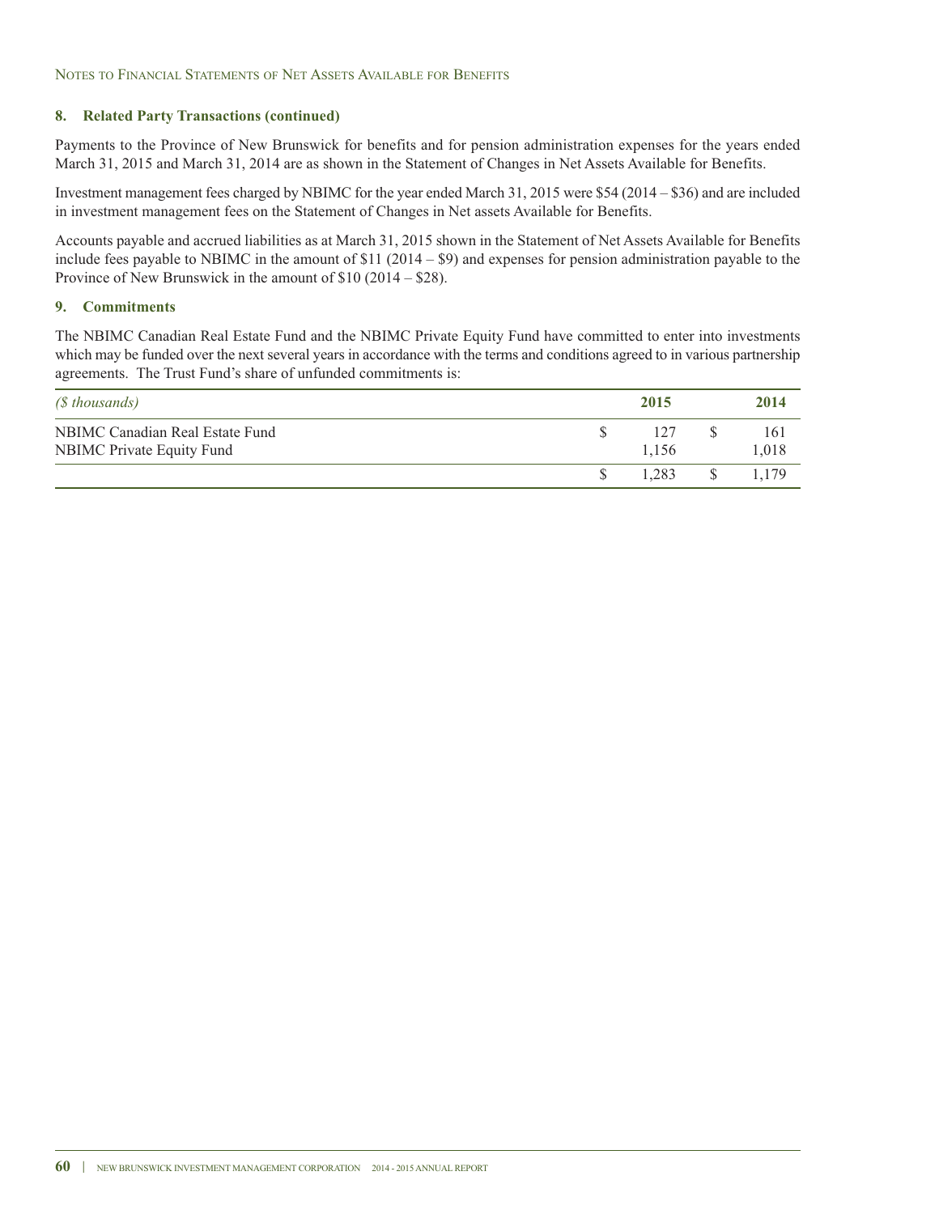NOTES TO FINANCIAL STATEMENTS OF NET ASSETS AVAILABLE FOR BENEFITS

# **8. Related Party Transactions (continued)**

Payments to the Province of New Brunswick for benefits and for pension administration expenses for the years ended March 31, 2015 and March 31, 2014 are as shown in the Statement of Changes in Net Assets Available for Benefits.

Investment management fees charged by NBIMC for the year ended March 31, 2015 were \$54 (2014 – \$36) and are included in investment management fees on the Statement of Changes in Net assets Available for Benefits.

Accounts payable and accrued liabilities as at March 31, 2015 shown in the Statement of Net Assets Available for Benefits include fees payable to NBIMC in the amount of \$11 (2014 – \$9) and expenses for pension administration payable to the Province of New Brunswick in the amount of \$10 (2014 – \$28).

# **9. Commitments**

The NBIMC Canadian Real Estate Fund and the NBIMC Private Equity Fund have committed to enter into investments which may be funded over the next several years in accordance with the terms and conditions agreed to in various partnership agreements. The Trust Fund's share of unfunded commitments is:

| (\$ thousands)                  | 2015  |              | 2014  |
|---------------------------------|-------|--------------|-------|
| NBIMC Canadian Real Estate Fund | 127   |              | 161   |
| NBIMC Private Equity Fund       | 1.156 |              | 1.018 |
|                                 | 1.283 | <sup>S</sup> | 1.179 |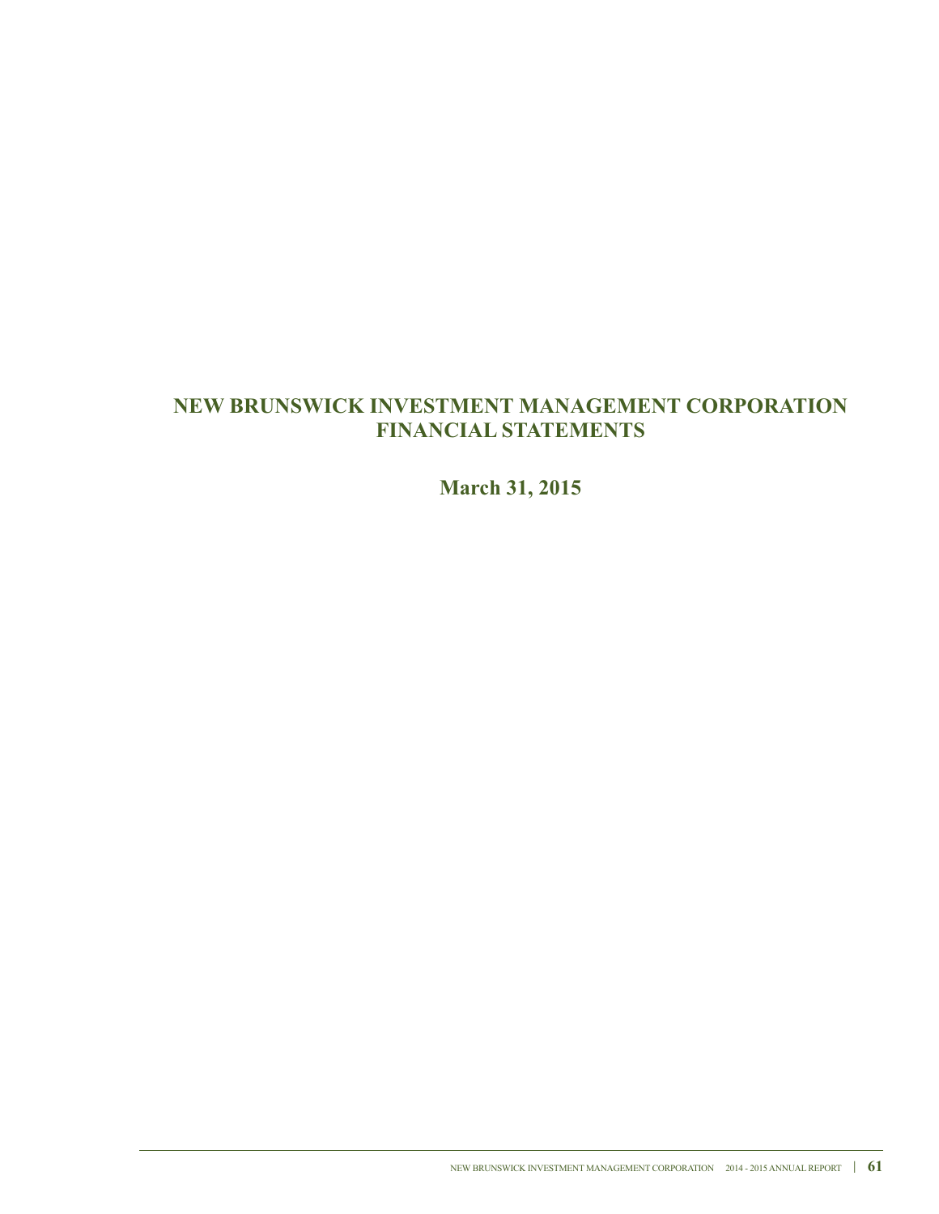# **NEW BRUNSWICK INVESTMENT MANAGEMENT CORPORATION FINANCIAL STATEMENTS**

**March 31, 2015**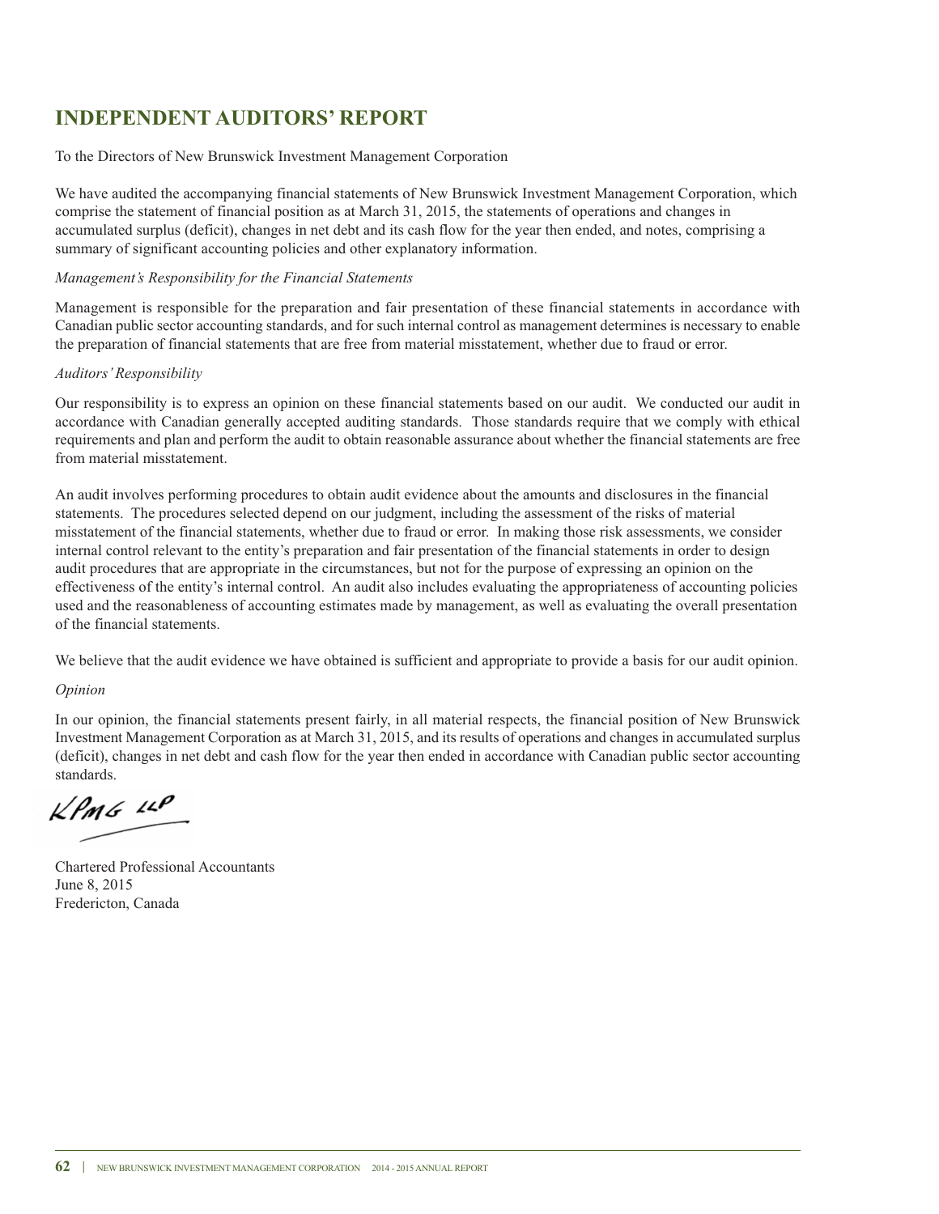# **INDEPENDENT AUDITORS' REPORT**

# To the Directors of New Brunswick Investment Management Corporation

We have audited the accompanying financial statements of New Brunswick Investment Management Corporation, which comprise the statement of financial position as at March 31, 2015, the statements of operations and changes in accumulated surplus (deficit), changes in net debt and its cash flow for the year then ended, and notes, comprising a summary of significant accounting policies and other explanatory information.

# *Management's Responsibility for the Financial Statements*

Management is responsible for the preparation and fair presentation of these financial statements in accordance with Canadian public sector accounting standards, and for such internal control as management determines is necessary to enable the preparation of financial statements that are free from material misstatement, whether due to fraud or error.

# *Auditors'Responsibility*

Our responsibility is to express an opinion on these financial statements based on our audit. We conducted our audit in accordance with Canadian generally accepted auditing standards. Those standards require that we comply with ethical requirements and plan and perform the audit to obtain reasonable assurance about whether the financial statements are free from material misstatement.

An audit involves performing procedures to obtain audit evidence about the amounts and disclosures in the financial statements. The procedures selected depend on our judgment, including the assessment of the risks of material misstatement of the financial statements, whether due to fraud or error. In making those risk assessments, we consider internal control relevant to the entity's preparation and fair presentation of the financial statements in order to design audit procedures that are appropriate in the circumstances, but not for the purpose of expressing an opinion on the effectiveness of the entity's internal control. An audit also includes evaluating the appropriateness of accounting policies used and the reasonableness of accounting estimates made by management, as well as evaluating the overall presentation of the financial statements.

We believe that the audit evidence we have obtained is sufficient and appropriate to provide a basis for our audit opinion.

# *Opinion*

In our opinion, the financial statements present fairly, in all material respects, the financial position of New Brunswick Investment Management Corporation as at March 31, 2015, and its results of operations and changes in accumulated surplus (deficit), changes in net debt and cash flow for the year then ended in accordance with Canadian public sector accounting standards.

 $k$ *PMG 14P* 

Chartered Professional Accountants June 8, 2015 Fredericton, Canada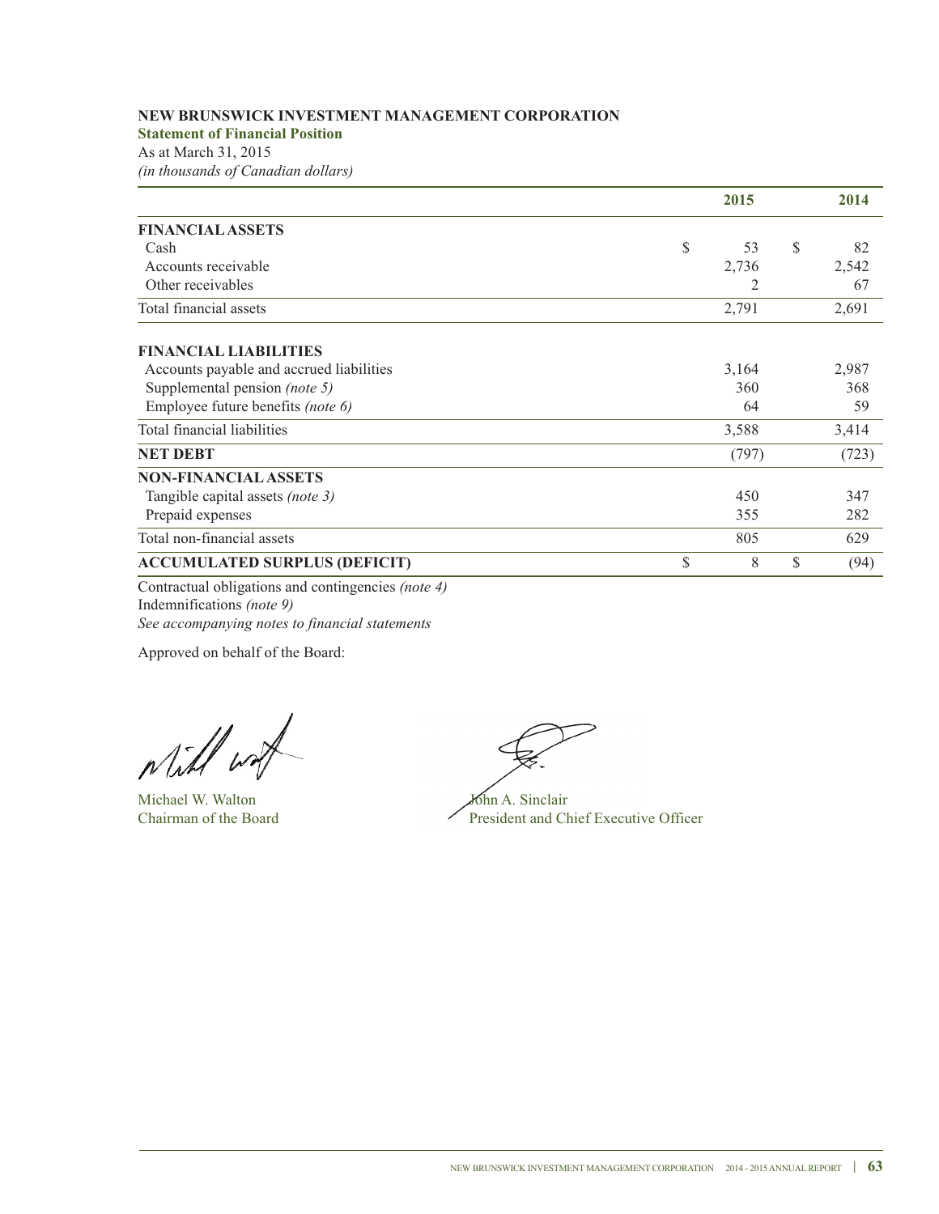# **NEW BRUNSWICK INVESTMENT MANAGEMENT CORPORATION**

**Statement of Financial Position**

As at March 31, 2015 *(in thousands of Canadian dollars)*

|                                          | 2015     | 2014       |
|------------------------------------------|----------|------------|
| <b>FINANCIAL ASSETS</b>                  |          |            |
| Cash                                     | \$<br>53 | \$<br>82   |
| Accounts receivable                      | 2,736    | 2,542      |
| Other receivables                        | 2        | 67         |
| Total financial assets                   | 2,791    | 2,691      |
| <b>FINANCIAL LIABILITIES</b>             |          |            |
| Accounts payable and accrued liabilities | 3,164    | 2,987      |
| Supplemental pension (note 5)            | 360      | 368        |
| Employee future benefits (note 6)        | 64       | 59         |
| Total financial liabilities              | 3,588    | 3,414      |
| <b>NET DEBT</b>                          | (797)    | (723)      |
| <b>NON-FINANCIAL ASSETS</b>              |          |            |
| Tangible capital assets (note 3)         | 450      | 347        |
| Prepaid expenses                         | 355      | 282        |
| Total non-financial assets               | 805      | 629        |
| <b>ACCUMULATED SURPLUS (DEFICIT)</b>     | \$<br>8  | \$<br>(94) |
|                                          |          |            |

Contractual obligations and contingencies *(note 4)* Indemnifications *(note 9) See accompanying notes to financial statements*

Approved on behalf of the Board:

Will work

Michael W. Walton Chairman of the Board President and Chairman of the Board

President and Chief Executive Officer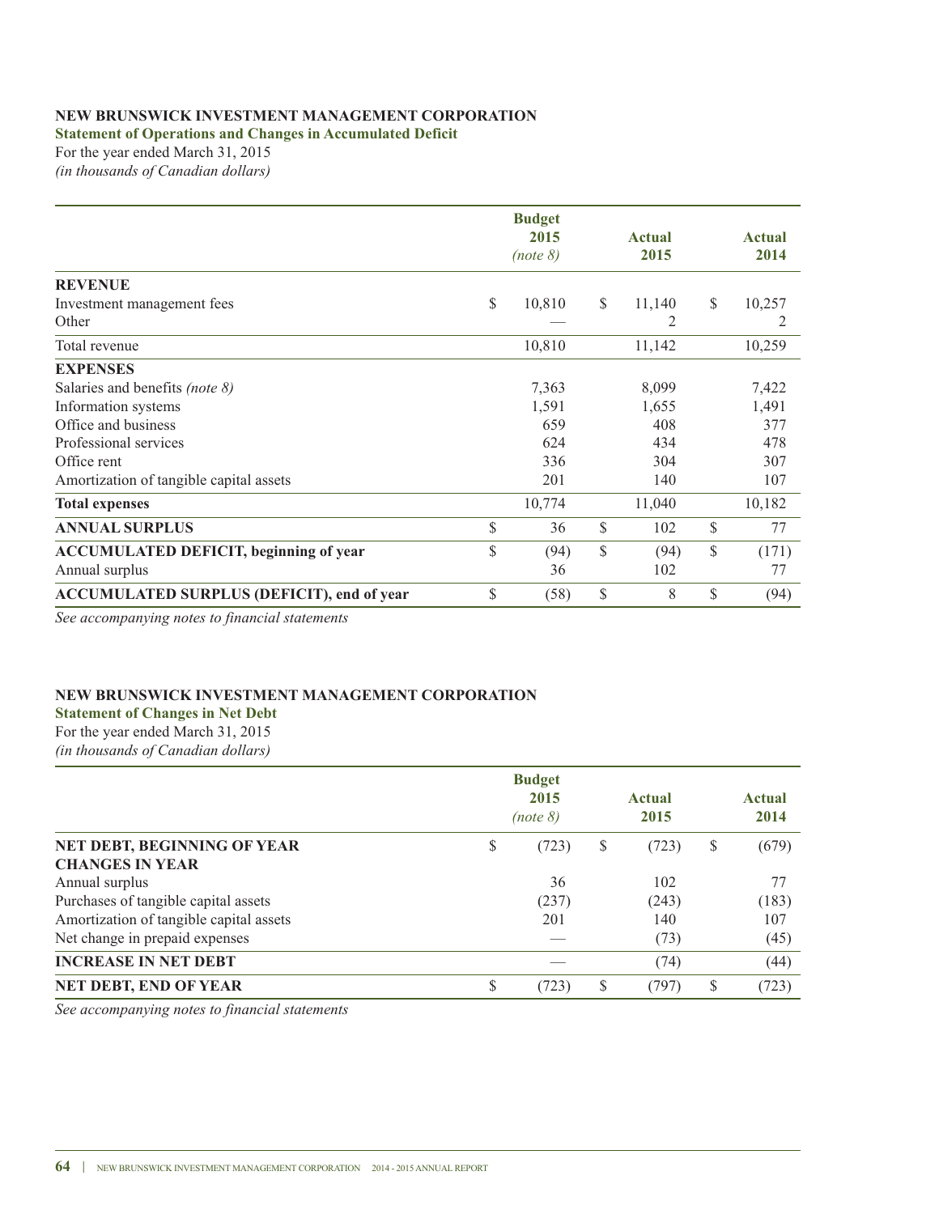# **NEW BRUNSWICK INVESTMENT MANAGEMENT CORPORATION**

**Statement of Operations and Changes in Accumulated Deficit**

For the year ended March 31, 2015 *(in thousands of Canadian dollars)*

|                                                   | <b>Budget</b><br>2015<br>(note 8) |    | Actual<br>2015 | <b>Actual</b><br>2014 |
|---------------------------------------------------|-----------------------------------|----|----------------|-----------------------|
| <b>REVENUE</b>                                    |                                   |    |                |                       |
| Investment management fees                        | \$<br>10,810                      | \$ | 11,140         | \$<br>10,257          |
| Other                                             |                                   |    | 2              | 2                     |
| Total revenue                                     | 10,810                            |    | 11,142         | 10,259                |
| <b>EXPENSES</b>                                   |                                   |    |                |                       |
| Salaries and benefits <i>(note 8)</i>             | 7,363                             |    | 8,099          | 7,422                 |
| Information systems                               | 1,591                             |    | 1,655          | 1,491                 |
| Office and business                               | 659                               |    | 408            | 377                   |
| Professional services                             | 624                               |    | 434            | 478                   |
| Office rent                                       | 336                               |    | 304            | 307                   |
| Amortization of tangible capital assets           | 201                               |    | 140            | 107                   |
| <b>Total expenses</b>                             | 10,774                            |    | 11,040         | 10,182                |
| <b>ANNUAL SURPLUS</b>                             | \$<br>36                          | \$ | 102            | \$<br>77              |
| <b>ACCUMULATED DEFICIT, beginning of year</b>     | \$<br>(94)                        | S  | (94)           | \$<br>(171)           |
| Annual surplus                                    | 36                                |    | 102            | 77                    |
| <b>ACCUMULATED SURPLUS (DEFICIT), end of year</b> | \$<br>(58)                        | \$ | 8              | \$<br>(94)            |

*See accompanying notes to financial statements*

# **NEW BRUNSWICK INVESTMENT MANAGEMENT CORPORATION**

# **Statement of Changes in Net Debt**

For the year ended March 31, 2015 *(in thousands of Canadian dollars)*

|                                         |    | <b>Budget</b><br>2015<br>(note 8) |   | <b>Actual</b><br>2015 | <b>Actual</b><br>2014 |
|-----------------------------------------|----|-----------------------------------|---|-----------------------|-----------------------|
| NET DEBT, BEGINNING OF YEAR             | \$ | (723)                             | S | (723)                 | \$<br>(679)           |
| <b>CHANGES IN YEAR</b>                  |    |                                   |   |                       |                       |
| Annual surplus                          |    | 36                                |   | 102                   | 77                    |
| Purchases of tangible capital assets    |    | (237)                             |   | (243)                 | (183)                 |
| Amortization of tangible capital assets |    | 201                               |   | 140                   | 107                   |
| Net change in prepaid expenses          |    |                                   |   | (73)                  | (45)                  |
| <b>INCREASE IN NET DEBT</b>             |    |                                   |   | (74)                  | (44)                  |
| <b>NET DEBT, END OF YEAR</b>            | S  | (723)                             | S | (797)                 | \$<br>(723)           |

*See accompanying notes to financial statements*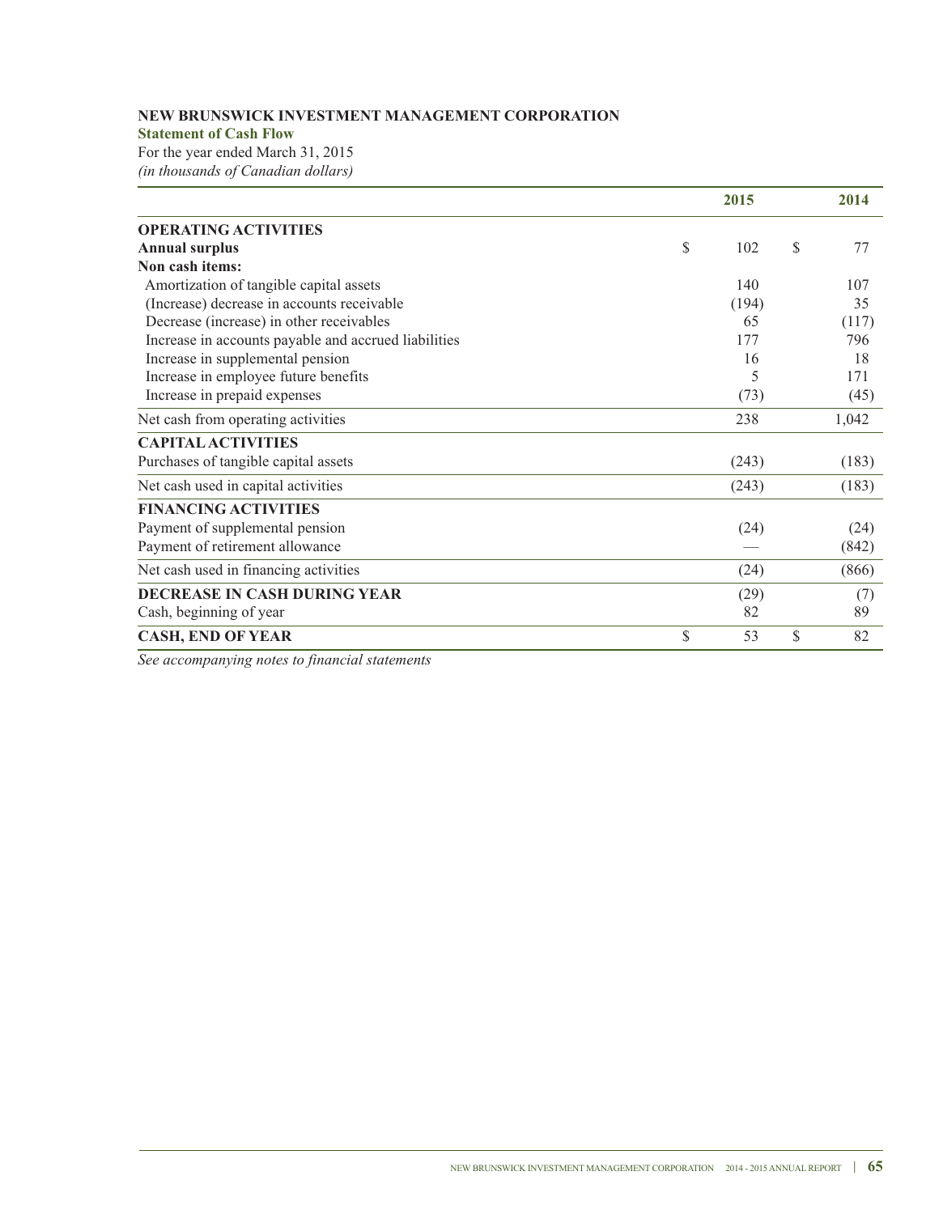# **NEW BRUNSWICK INVESTMENT MANAGEMENT CORPORATION**

#### **Statement of Cash Flow**

For the year ended March 31, 2015 *(in thousands of Canadian dollars)*

|                                                      | 2015      | 2014     |
|------------------------------------------------------|-----------|----------|
| <b>OPERATING ACTIVITIES</b>                          |           |          |
| <b>Annual surplus</b>                                | \$<br>102 | \$<br>77 |
| Non cash items:                                      |           |          |
| Amortization of tangible capital assets              | 140       | 107      |
| (Increase) decrease in accounts receivable           | (194)     | 35       |
| Decrease (increase) in other receivables             | 65        | (117)    |
| Increase in accounts payable and accrued liabilities | 177       | 796      |
| Increase in supplemental pension                     | 16        | 18       |
| Increase in employee future benefits                 | 5         | 171      |
| Increase in prepaid expenses                         | (73)      | (45)     |
| Net cash from operating activities                   | 238       | 1,042    |
| <b>CAPITAL ACTIVITIES</b>                            |           |          |
| Purchases of tangible capital assets                 | (243)     | (183)    |
| Net cash used in capital activities                  | (243)     | (183)    |
| <b>FINANCING ACTIVITIES</b>                          |           |          |
| Payment of supplemental pension                      | (24)      | (24)     |
| Payment of retirement allowance                      |           | (842)    |
| Net cash used in financing activities                | (24)      | (866)    |
| DECREASE IN CASH DURING YEAR                         | (29)      | (7)      |
| Cash, beginning of year                              | 82        | 89       |
| <b>CASH, END OF YEAR</b>                             | \$<br>53  | \$<br>82 |

*See accompanying notes to financial statements*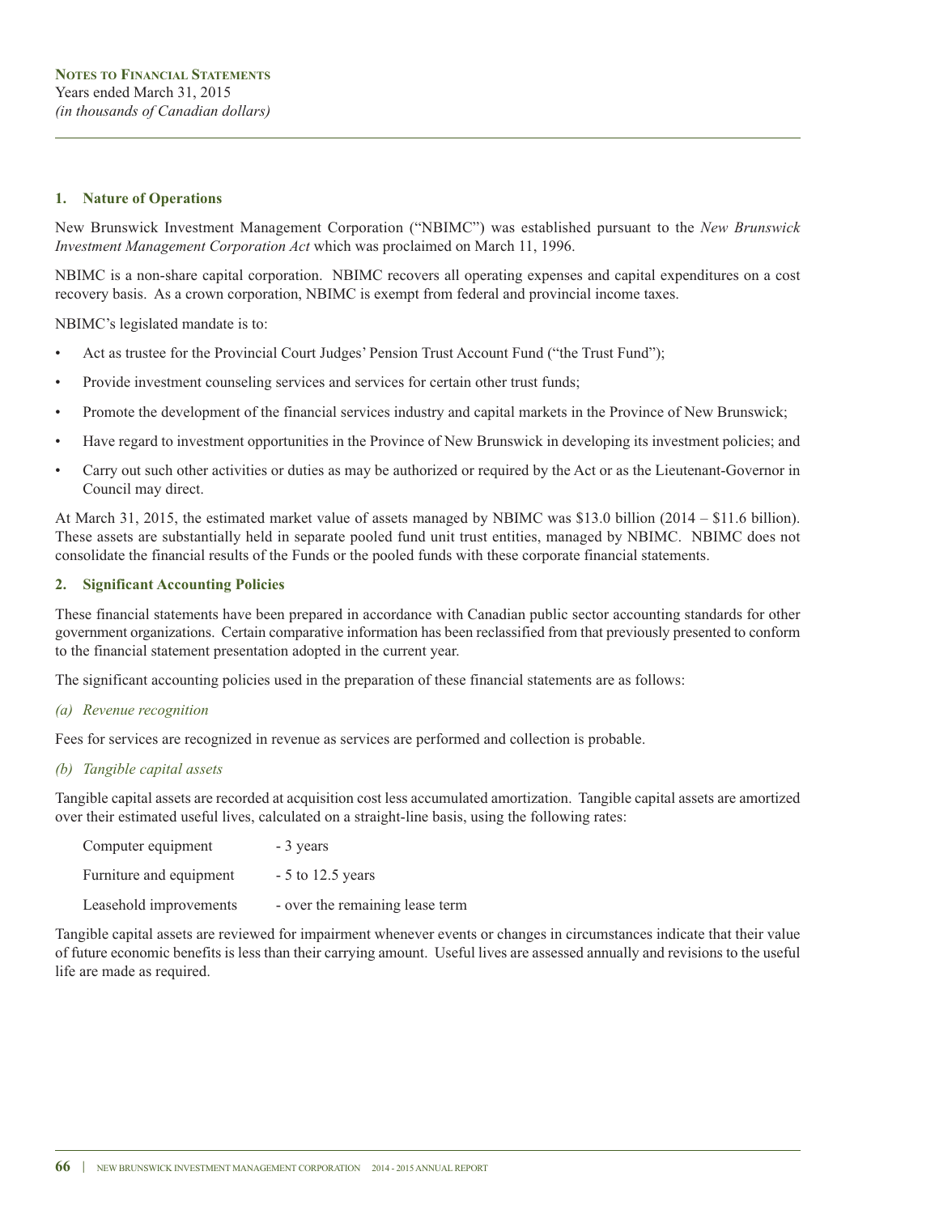#### **1. Nature of Operations**

New Brunswick Investment Management Corporation ("NBIMC") was established pursuant to the *New Brunswick Investment Management Corporation Act* which was proclaimed on March 11, 1996.

NBIMC is a non-share capital corporation. NBIMC recovers all operating expenses and capital expenditures on a cost recovery basis. As a crown corporation, NBIMC is exempt from federal and provincial income taxes.

NBIMC's legislated mandate is to:

- Act as trustee for the Provincial Court Judges' Pension Trust Account Fund ("the Trust Fund");
- Provide investment counseling services and services for certain other trust funds;
- Promote the development of the financial services industry and capital markets in the Province of New Brunswick;
- Have regard to investment opportunities in the Province of New Brunswick in developing its investment policies; and
- Carry out such other activities or duties as may be authorized or required by the Act or as the Lieutenant-Governor in Council may direct.

At March 31, 2015, the estimated market value of assets managed by NBIMC was \$13.0 billion (2014 – \$11.6 billion). These assets are substantially held in separate pooled fund unit trust entities, managed by NBIMC. NBIMC does not consolidate the financial results of the Funds or the pooled funds with these corporate financial statements.

# **2. Significant Accounting Policies**

These financial statements have been prepared in accordance with Canadian public sector accounting standards for other government organizations. Certain comparative information has been reclassified from that previously presented to conform to the financial statement presentation adopted in the current year.

The significant accounting policies used in the preparation of these financial statements are as follows:

*(a) Revenue recognition*

Fees for services are recognized in revenue as services are performed and collection is probable.

# *(b) Tangible capital assets*

Tangible capital assets are recorded at acquisition cost less accumulated amortization. Tangible capital assets are amortized over their estimated useful lives, calculated on a straight-line basis, using the following rates:

| Computer equipment      | - 3 years                       |
|-------------------------|---------------------------------|
| Furniture and equipment | $-5$ to 12.5 years              |
| Leasehold improvements  | - over the remaining lease term |

Tangible capital assets are reviewed for impairment whenever events or changes in circumstances indicate that their value of future economic benefits is less than their carrying amount. Useful lives are assessed annually and revisions to the useful life are made as required.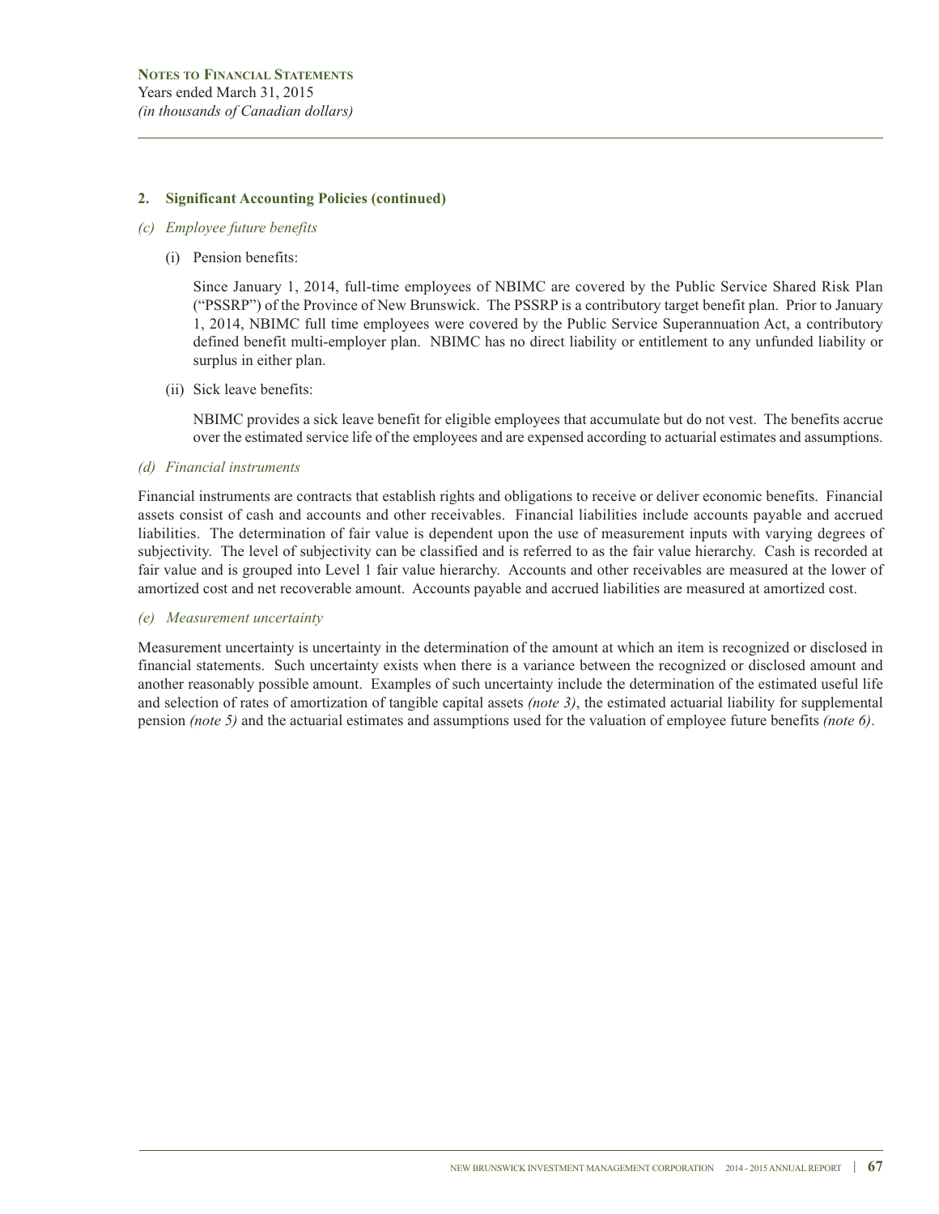# **2. Significant Accounting Policies (continued)**

#### *(c) Employee future benefits*

(i) Pension benefits:

Since January 1, 2014, full-time employees of NBIMC are covered by the Public Service Shared Risk Plan ("PSSRP") of the Province of New Brunswick. The PSSRP is a contributory target benefit plan. Prior to January 1, 2014, NBIMC full time employees were covered by the Public Service Superannuation Act, a contributory defined benefit multi-employer plan. NBIMC has no direct liability or entitlement to any unfunded liability or surplus in either plan.

(ii) Sick leave benefits:

NBIMC provides a sick leave benefit for eligible employees that accumulate but do not vest. The benefits accrue over the estimated service life of the employees and are expensed according to actuarial estimates and assumptions.

### *(d) Financial instruments*

Financial instruments are contracts that establish rights and obligations to receive or deliver economic benefits. Financial assets consist of cash and accounts and other receivables. Financial liabilities include accounts payable and accrued liabilities. The determination of fair value is dependent upon the use of measurement inputs with varying degrees of subjectivity. The level of subjectivity can be classified and is referred to as the fair value hierarchy. Cash is recorded at fair value and is grouped into Level 1 fair value hierarchy. Accounts and other receivables are measured at the lower of amortized cost and net recoverable amount. Accounts payable and accrued liabilities are measured at amortized cost.

*(e) Measurement uncertainty*

Measurement uncertainty is uncertainty in the determination of the amount at which an item is recognized or disclosed in financial statements. Such uncertainty exists when there is a variance between the recognized or disclosed amount and another reasonably possible amount. Examples of such uncertainty include the determination of the estimated useful life and selection of rates of amortization of tangible capital assets *(note 3)*, the estimated actuarial liability for supplemental pension *(note 5)* and the actuarial estimates and assumptions used for the valuation of employee future benefits *(note 6)*.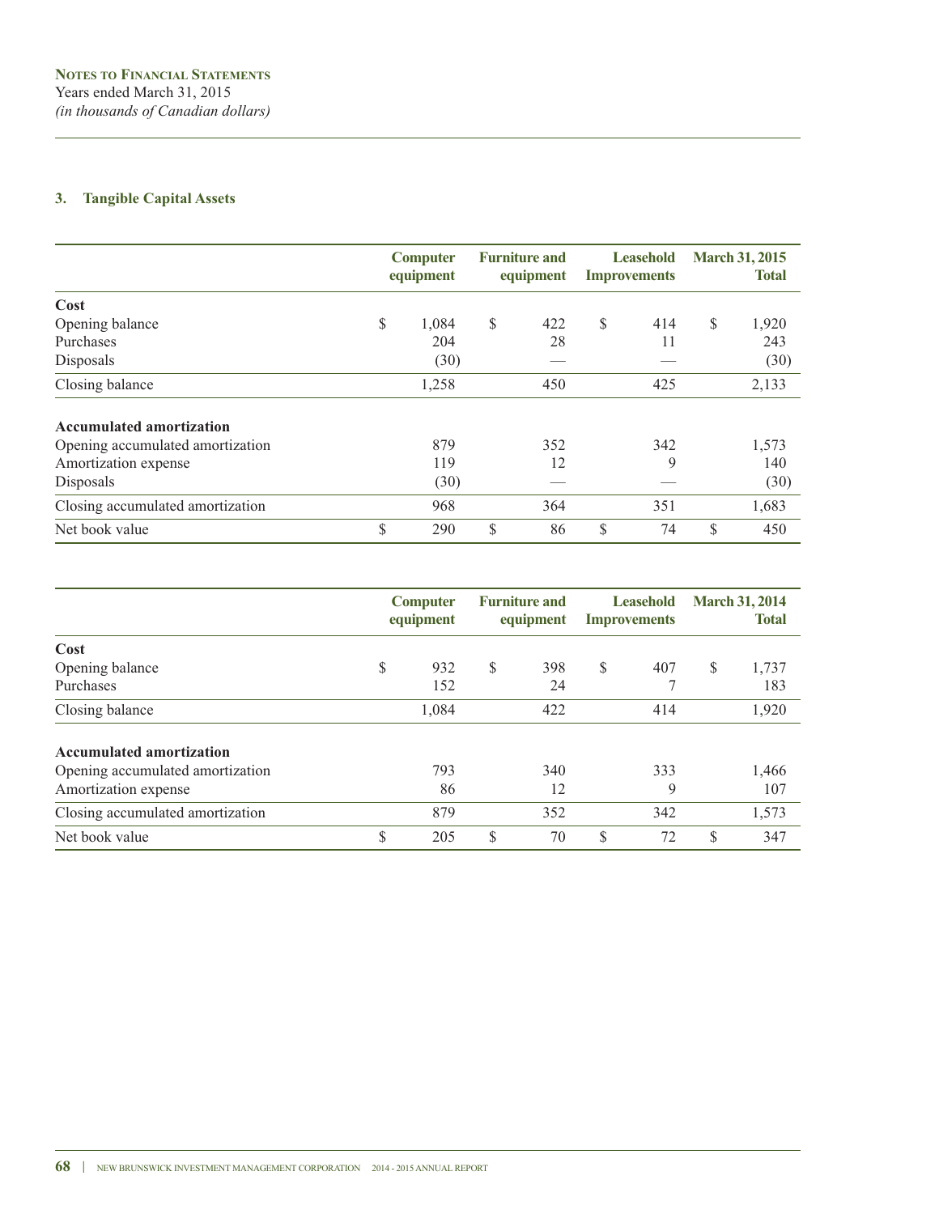# **3. Tangible Capital Assets**

|                                  |              | <b>Computer</b><br>equipment |    | <b>Furniture and</b><br>equipment |    | <b>Leasehold</b><br><b>Improvements</b> |    | <b>March 31, 2015</b><br><b>Total</b> |
|----------------------------------|--------------|------------------------------|----|-----------------------------------|----|-----------------------------------------|----|---------------------------------------|
| Cost                             |              |                              |    |                                   |    |                                         |    |                                       |
| Opening balance                  | $\mathbb{S}$ | 1,084                        | \$ | 422                               | S  | 414                                     | \$ | 1,920                                 |
| Purchases                        |              | 204                          |    | 28                                |    | 11                                      |    | 243                                   |
| Disposals                        |              | (30)                         |    |                                   |    |                                         |    | (30)                                  |
| Closing balance                  |              | 1,258                        |    | 450                               |    | 425                                     |    | 2,133                                 |
| <b>Accumulated amortization</b>  |              |                              |    |                                   |    |                                         |    |                                       |
| Opening accumulated amortization |              | 879                          |    | 352                               |    | 342                                     |    | 1,573                                 |
| Amortization expense             |              | 119                          |    | 12                                |    | 9                                       |    | 140                                   |
| Disposals                        |              | (30)                         |    |                                   |    |                                         |    | (30)                                  |
| Closing accumulated amortization |              | 968                          |    | 364                               |    | 351                                     |    | 1,683                                 |
| Net book value                   | \$           | 290                          | S  | 86                                | \$ | 74                                      | S  | 450                                   |

|                                  |    | <b>Computer</b><br>equipment |    | <b>Furniture and</b><br>equipment |    | Leasehold<br><b>Improvements</b> |    | <b>March 31, 2014</b><br><b>Total</b> |
|----------------------------------|----|------------------------------|----|-----------------------------------|----|----------------------------------|----|---------------------------------------|
| Cost                             |    |                              |    |                                   |    |                                  |    |                                       |
| Opening balance                  | S  | 932                          | S  | 398                               | S  | 407                              | S  | 1,737                                 |
| Purchases                        |    | 152                          |    | 24                                |    |                                  |    | 183                                   |
| Closing balance                  |    | 1,084                        |    | 422                               |    | 414                              |    | 1,920                                 |
| <b>Accumulated amortization</b>  |    |                              |    |                                   |    |                                  |    |                                       |
| Opening accumulated amortization |    | 793                          |    | 340                               |    | 333                              |    | 1,466                                 |
| Amortization expense             |    | 86                           |    | 12                                |    | 9                                |    | 107                                   |
| Closing accumulated amortization |    | 879                          |    | 352                               |    | 342                              |    | 1,573                                 |
| Net book value                   | \$ | 205                          | \$ | 70                                | \$ | 72                               | \$ | 347                                   |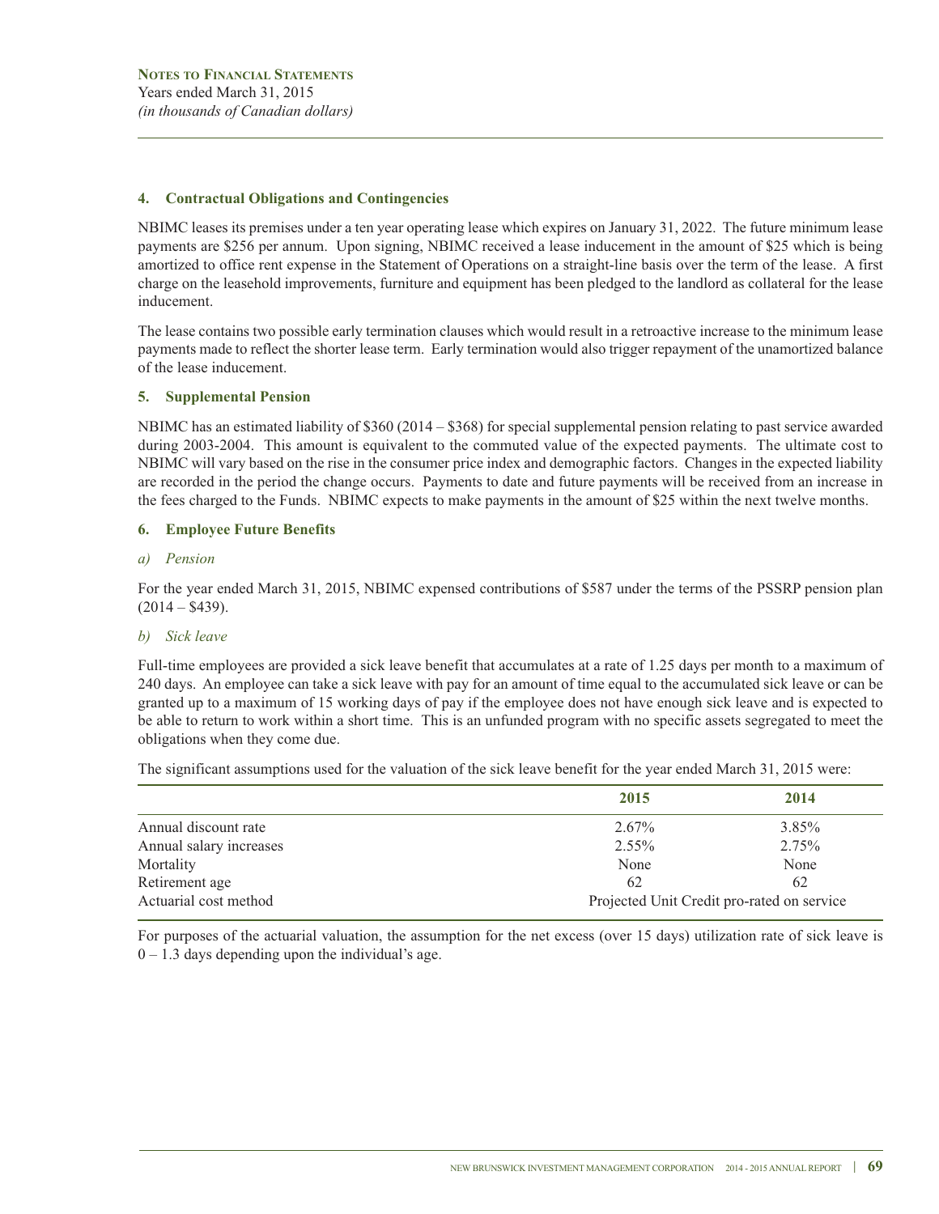# **4. Contractual Obligations and Contingencies**

NBIMC leases its premises under a ten year operating lease which expires on January 31, 2022. The future minimum lease payments are \$256 per annum. Upon signing, NBIMC received a lease inducement in the amount of \$25 which is being amortized to office rent expense in the Statement of Operations on a straight-line basis over the term of the lease. A first charge on the leasehold improvements, furniture and equipment has been pledged to the landlord as collateral for the lease inducement.

The lease contains two possible early termination clauses which would result in a retroactive increase to the minimum lease payments made to reflect the shorter lease term. Early termination would also trigger repayment of the unamortized balance of the lease inducement.

# **5. Supplemental Pension**

NBIMC has an estimated liability of \$360 (2014 – \$368) for special supplemental pension relating to past service awarded during 2003-2004. This amount is equivalent to the commuted value of the expected payments. The ultimate cost to NBIMC will vary based on the rise in the consumer price index and demographic factors. Changes in the expected liability are recorded in the period the change occurs. Payments to date and future payments will be received from an increase in the fees charged to the Funds. NBIMC expects to make payments in the amount of \$25 within the next twelve months.

# **6. Employee Future Benefits**

#### *a) Pension*

For the year ended March 31, 2015, NBIMC expensed contributions of \$587 under the terms of the PSSRP pension plan  $(2014 - $439)$ .

#### *b) Sick leave*

Full-time employees are provided a sick leave benefit that accumulates at a rate of 1.25 days per month to a maximum of 240 days. An employee can take a sick leave with pay for an amount of time equal to the accumulated sick leave or can be granted up to a maximum of 15 working days of pay if the employee does not have enough sick leave and is expected to be able to return to work within a short time. This is an unfunded program with no specific assets segregated to meet the obligations when they come due.

The significant assumptions used for the valuation of the sick leave benefit for the year ended March 31, 2015 were:

|                         | 2015                                       | 2014     |  |  |  |
|-------------------------|--------------------------------------------|----------|--|--|--|
| Annual discount rate    | $2.67\%$                                   | $3.85\%$ |  |  |  |
| Annual salary increases | $2.55\%$                                   | $2.75\%$ |  |  |  |
| Mortality               | None                                       | None     |  |  |  |
| Retirement age          | 62                                         | 62       |  |  |  |
| Actuarial cost method   | Projected Unit Credit pro-rated on service |          |  |  |  |

For purposes of the actuarial valuation, the assumption for the net excess (over 15 days) utilization rate of sick leave is  $0 - 1.3$  days depending upon the individual's age.